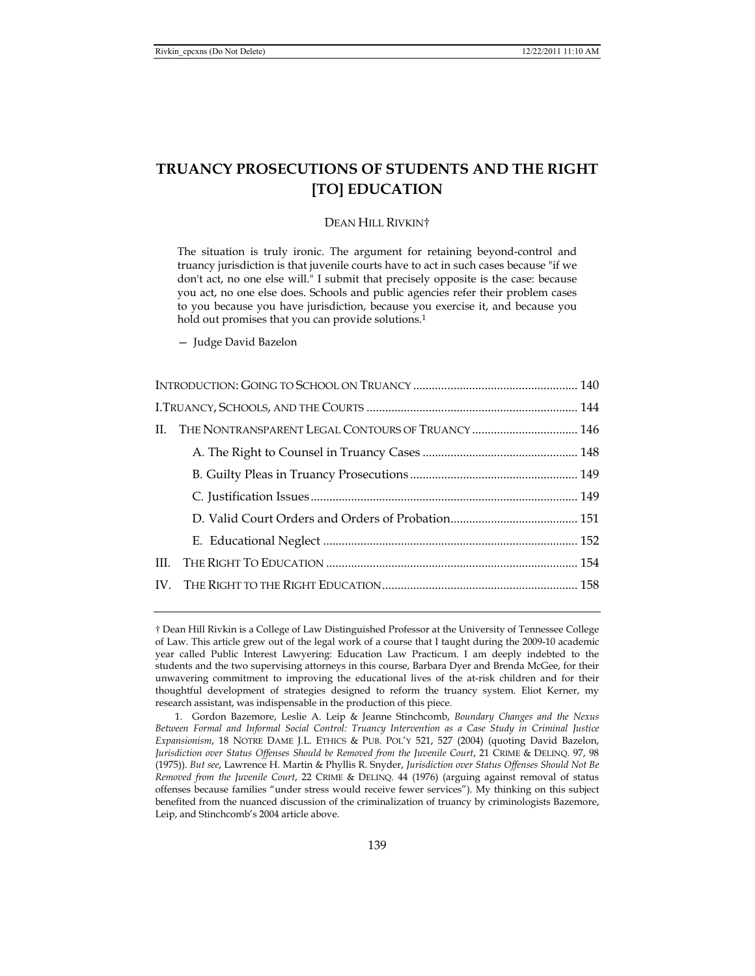# **TRUANCY PROSECUTIONS OF STUDENTS AND THE RIGHT [TO] EDUCATION**

## DEAN HILL RIVKIN†

The situation is truly ironic. The argument for retaining beyond-control and truancy jurisdiction is that juvenile courts have to act in such cases because "if we don't act, no one else will." I submit that precisely opposite is the case: because you act, no one else does. Schools and public agencies refer their problem cases to you because you have jurisdiction, because you exercise it, and because you hold out promises that you can provide solutions.<sup>1</sup>

— Judge David Bazelon

<sup>†</sup> Dean Hill Rivkin is a College of Law Distinguished Professor at the University of Tennessee College of Law. This article grew out of the legal work of a course that I taught during the 2009-10 academic year called Public Interest Lawyering: Education Law Practicum. I am deeply indebted to the students and the two supervising attorneys in this course, Barbara Dyer and Brenda McGee, for their unwavering commitment to improving the educational lives of the at-risk children and for their thoughtful development of strategies designed to reform the truancy system. Eliot Kerner, my research assistant, was indispensable in the production of this piece.

 <sup>1.</sup> Gordon Bazemore, Leslie A. Leip & Jeanne Stinchcomb, *Boundary Changes and the Nexus Between Formal and Informal Social Control: Truancy Intervention as a Case Study in Criminal Justice Expansionism*, 18 NOTRE DAME J.L. ETHICS & PUB. POL'Y 521, 527 (2004) (quoting David Bazelon, *Jurisdiction over Status Offenses Should be Removed from the Juvenile Court*, 21 CRIME & DELINQ. 97, 98 (1975)). *But see*, Lawrence H. Martin & Phyllis R. Snyder, *Jurisdiction over Status Offenses Should Not Be Removed from the Juvenile Court*, 22 CRIME & DELINQ. 44 (1976) (arguing against removal of status offenses because families "under stress would receive fewer services"). My thinking on this subject benefited from the nuanced discussion of the criminalization of truancy by criminologists Bazemore, Leip, and Stinchcomb's 2004 article above.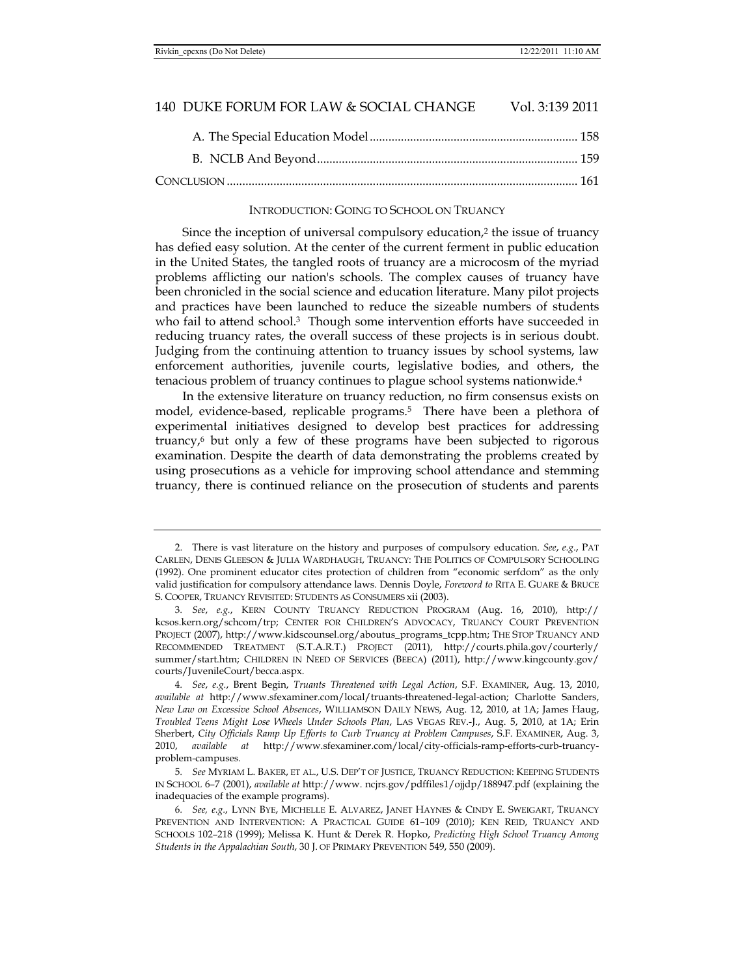## INTRODUCTION: GOING TO SCHOOL ON TRUANCY

Since the inception of universal compulsory education,<sup>2</sup> the issue of truancy has defied easy solution. At the center of the current ferment in public education in the United States, the tangled roots of truancy are a microcosm of the myriad problems afflicting our nation's schools. The complex causes of truancy have been chronicled in the social science and education literature. Many pilot projects and practices have been launched to reduce the sizeable numbers of students who fail to attend school.<sup>3</sup> Though some intervention efforts have succeeded in reducing truancy rates, the overall success of these projects is in serious doubt. Judging from the continuing attention to truancy issues by school systems, law enforcement authorities, juvenile courts, legislative bodies, and others, the tenacious problem of truancy continues to plague school systems nationwide.4

In the extensive literature on truancy reduction, no firm consensus exists on model, evidence-based, replicable programs.<sup>5</sup> There have been a plethora of experimental initiatives designed to develop best practices for addressing truancy, $6$  but only a few of these programs have been subjected to rigorous examination. Despite the dearth of data demonstrating the problems created by using prosecutions as a vehicle for improving school attendance and stemming truancy, there is continued reliance on the prosecution of students and parents

 <sup>2.</sup> There is vast literature on the history and purposes of compulsory education. *See*, *e.g.*, PAT CARLEN, DENIS GLEESON & JULIA WARDHAUGH, TRUANCY: THE POLITICS OF COMPULSORY SCHOOLING (1992). One prominent educator cites protection of children from "economic serfdom" as the only valid justification for compulsory attendance laws. Dennis Doyle, *Foreword to* RITA E. GUARE & BRUCE S. COOPER, TRUANCY REVISITED: STUDENTS AS CONSUMERS xii (2003).

<sup>3</sup>*. See*, *e.g.*, KERN COUNTY TRUANCY REDUCTION PROGRAM (Aug. 16, 2010), http:// kcsos.kern.org/schcom/trp; CENTER FOR CHILDREN'S ADVOCACY, TRUANCY COURT PREVENTION PROJECT (2007), http://www.kidscounsel.org/aboutus\_programs\_tcpp.htm; THE STOP TRUANCY AND RECOMMENDED TREATMENT (S.T.A.R.T.) PROJECT (2011), http://courts.phila.gov/courterly/ summer/start.htm; CHILDREN IN NEED OF SERVICES (BEECA) (2011), http://www.kingcounty.gov/ courts/JuvenileCourt/becca.aspx.

<sup>4</sup>*. See*, *e.g.*, Brent Begin, *Truants Threatened with Legal Action*, S.F. EXAMINER, Aug. 13, 2010, *available at* http://www.sfexaminer.com/local/truants-threatened-legal-action; Charlotte Sanders, *New Law on Excessive School Absences*, WILLIAMSON DAILY NEWS, Aug. 12, 2010, at 1A; James Haug, *Troubled Teens Might Lose Wheels Under Schools Plan*, LAS VEGAS REV.-J., Aug. 5, 2010, at 1A; Erin Sherbert, *City Officials Ramp Up Efforts to Curb Truancy at Problem Campuses*, S.F. EXAMINER, Aug. 3, 2010, *available at* http://www.sfexaminer.com/local/city-officials-ramp-efforts-curb-truancyproblem-campuses.

<sup>5</sup>*. See* MYRIAM L. BAKER, ET AL., U.S. DEP'T OF JUSTICE, TRUANCY REDUCTION: KEEPING STUDENTS IN SCHOOL 6–7 (2001), *available at* http://www. ncjrs.gov/pdffiles1/ojjdp/188947.pdf (explaining the inadequacies of the example programs).

<sup>6</sup>*. See, e.g.*, LYNN BYE, MICHELLE E. ALVAREZ, JANET HAYNES & CINDY E. SWEIGART, TRUANCY PREVENTION AND INTERVENTION: A PRACTICAL GUIDE 61–109 (2010); KEN REID, TRUANCY AND SCHOOLS 102–218 (1999); Melissa K. Hunt & Derek R. Hopko, *Predicting High School Truancy Among Students in the Appalachian South*, 30 J. OF PRIMARY PREVENTION 549, 550 (2009).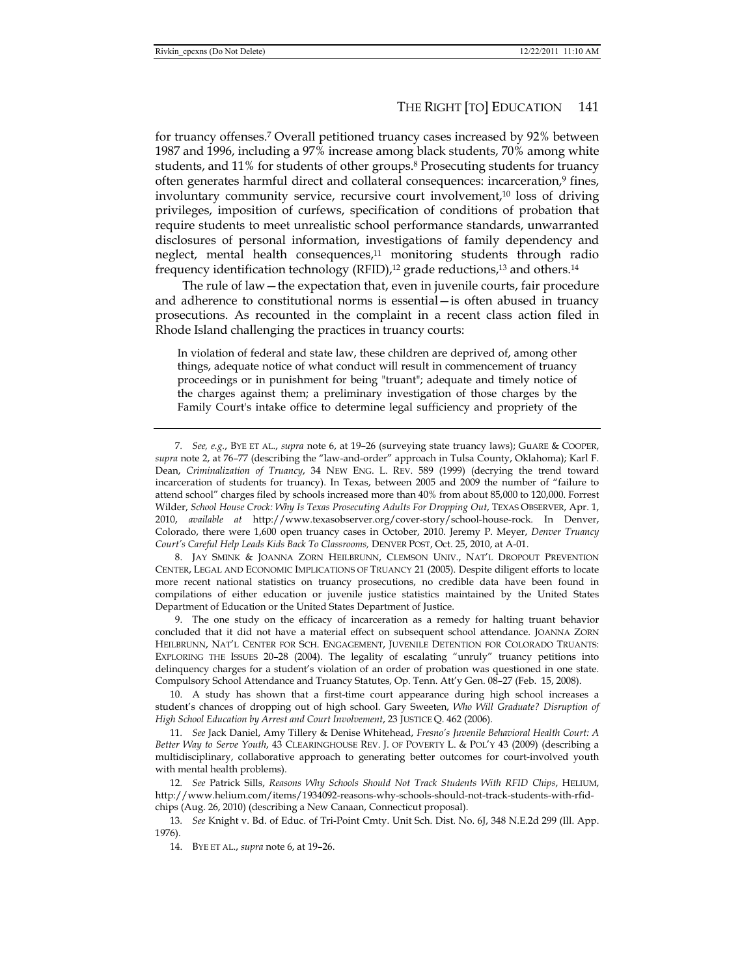for truancy offenses.7 Overall petitioned truancy cases increased by 92% between 1987 and 1996, including a 97% increase among black students, 70% among white students, and 11% for students of other groups.8 Prosecuting students for truancy often generates harmful direct and collateral consequences: incarceration,9 fines, involuntary community service, recursive court involvement,10 loss of driving privileges, imposition of curfews, specification of conditions of probation that require students to meet unrealistic school performance standards, unwarranted disclosures of personal information, investigations of family dependency and neglect, mental health consequences, $11$  monitoring students through radio frequency identification technology (RFID), $12$  grade reductions, $13$  and others. $14$ 

The rule of law—the expectation that, even in juvenile courts, fair procedure and adherence to constitutional norms is essential—is often abused in truancy prosecutions. As recounted in the complaint in a recent class action filed in Rhode Island challenging the practices in truancy courts:

In violation of federal and state law, these children are deprived of, among other things, adequate notice of what conduct will result in commencement of truancy proceedings or in punishment for being "truant"; adequate and timely notice of the charges against them; a preliminary investigation of those charges by the Family Court's intake office to determine legal sufficiency and propriety of the

 8. JAY SMINK & JOANNA ZORN HEILBRUNN, CLEMSON UNIV., NAT'L DROPOUT PREVENTION CENTER, LEGAL AND ECONOMIC IMPLICATIONS OF TRUANCY 21 (2005). Despite diligent efforts to locate more recent national statistics on truancy prosecutions, no credible data have been found in compilations of either education or juvenile justice statistics maintained by the United States Department of Education or the United States Department of Justice.

 9. The one study on the efficacy of incarceration as a remedy for halting truant behavior concluded that it did not have a material effect on subsequent school attendance. JOANNA ZORN HEILBRUNN, NAT'L CENTER FOR SCH. ENGAGEMENT, JUVENILE DETENTION FOR COLORADO TRUANTS: EXPLORING THE ISSUES 20–28 (2004). The legality of escalating "unruly" truancy petitions into delinquency charges for a student's violation of an order of probation was questioned in one state. Compulsory School Attendance and Truancy Statutes, Op. Tenn. Att'y Gen. 08–27 (Feb. 15, 2008).

 10. A study has shown that a first-time court appearance during high school increases a student's chances of dropping out of high school. Gary Sweeten, *Who Will Graduate? Disruption of High School Education by Arrest and Court Involvement*, 23 JUSTICE Q. 462 (2006).

11*. See* Jack Daniel, Amy Tillery & Denise Whitehead, *Fresno's Juvenile Behavioral Health Court: A Better Way to Serve Youth*, 43 CLEARINGHOUSE REV. J. OF POVERTY L. & POL'Y 43 (2009) (describing a multidisciplinary, collaborative approach to generating better outcomes for court-involved youth with mental health problems).

12*. See* Patrick Sills, *Reasons Why Schools Should Not Track Students With RFID Chips*, HELIUM, http://www.helium.com/items/1934092-reasons-why-schools-should-not-track-students-with-rfidchips (Aug. 26, 2010) (describing a New Canaan, Connecticut proposal).

13*. See* Knight v. Bd. of Educ. of Tri-Point Cmty. Unit Sch. Dist. No. 6J, 348 N.E.2d 299 (Ill. App. 1976).

14. BYE ET AL., *supra* note 6, at 19–26.

<sup>7</sup>*. See, e.g.*, BYE ET AL., *supra* note 6, at 19–26 (surveying state truancy laws); GuARE & COOPER, *supra* note 2, at 76–77 (describing the "law-and-order" approach in Tulsa County, Oklahoma); Karl F. Dean, *Criminalization of Truancy*, 34 NEW ENG. L. REV. 589 (1999) (decrying the trend toward incarceration of students for truancy). In Texas, between 2005 and 2009 the number of "failure to attend school" charges filed by schools increased more than 40% from about 85,000 to 120,000. Forrest Wilder, *School House Crock: Why Is Texas Prosecuting Adults For Dropping Out*, TEXAS OBSERVER, Apr. 1, 2010, *available at* http://www.texasobserver.org/cover-story/school-house-rock. In Denver, Colorado, there were 1,600 open truancy cases in October, 2010. Jeremy P. Meyer, *Denver Truancy Court's Careful Help Leads Kids Back To Classrooms,* DENVER POST, Oct. 25, 2010, at A-01.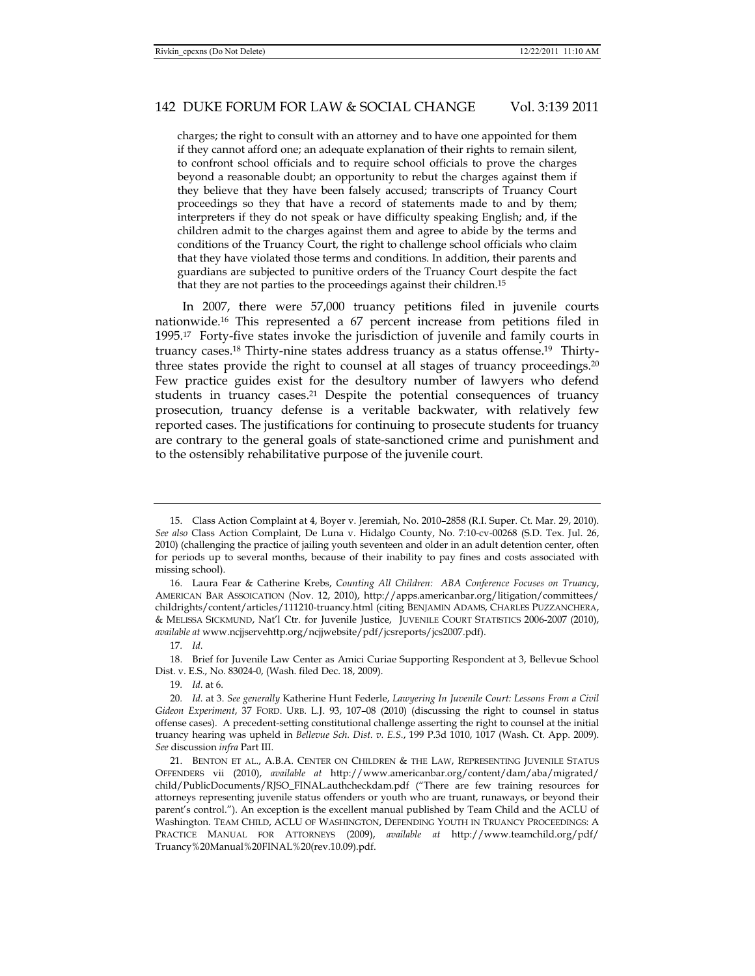charges; the right to consult with an attorney and to have one appointed for them if they cannot afford one; an adequate explanation of their rights to remain silent, to confront school officials and to require school officials to prove the charges beyond a reasonable doubt; an opportunity to rebut the charges against them if they believe that they have been falsely accused; transcripts of Truancy Court proceedings so they that have a record of statements made to and by them; interpreters if they do not speak or have difficulty speaking English; and, if the children admit to the charges against them and agree to abide by the terms and conditions of the Truancy Court, the right to challenge school officials who claim that they have violated those terms and conditions. In addition, their parents and guardians are subjected to punitive orders of the Truancy Court despite the fact that they are not parties to the proceedings against their children.15

In 2007, there were 57,000 truancy petitions filed in juvenile courts nationwide.16 This represented a 67 percent increase from petitions filed in 1995.17 Forty-five states invoke the jurisdiction of juvenile and family courts in truancy cases.18 Thirty-nine states address truancy as a status offense.19 Thirtythree states provide the right to counsel at all stages of truancy proceedings.20 Few practice guides exist for the desultory number of lawyers who defend students in truancy cases.21 Despite the potential consequences of truancy prosecution, truancy defense is a veritable backwater, with relatively few reported cases. The justifications for continuing to prosecute students for truancy are contrary to the general goals of state-sanctioned crime and punishment and to the ostensibly rehabilitative purpose of the juvenile court.

 <sup>15.</sup> Class Action Complaint at 4, Boyer v. Jeremiah, No. 2010–2858 (R.I. Super. Ct. Mar. 29, 2010). *See also* Class Action Complaint, De Luna v. Hidalgo County, No. 7:10-cv-00268 (S.D. Tex. Jul. 26, 2010) (challenging the practice of jailing youth seventeen and older in an adult detention center, often for periods up to several months, because of their inability to pay fines and costs associated with missing school).

 <sup>16.</sup> Laura Fear & Catherine Krebs, *Counting All Children: ABA Conference Focuses on Truancy*, AMERICAN BAR ASSOICATION (Nov. 12, 2010), http://apps.americanbar.org/litigation/committees/ childrights/content/articles/111210-truancy.html (citing BENJAMIN ADAMS, CHARLES PUZZANCHERA, & MELISSA SICKMUND, Nat'l Ctr. for Juvenile Justice, JUVENILE COURT STATISTICS 2006-2007 (2010), *available at* www.ncjjservehttp.org/ncjjwebsite/pdf/jcsreports/jcs2007.pdf).

<sup>17</sup>*. Id.*

 <sup>18.</sup> Brief for Juvenile Law Center as Amici Curiae Supporting Respondent at 3, Bellevue School Dist. v. E.S., No. 83024-0, (Wash. filed Dec. 18, 2009).

<sup>19</sup>*. Id.* at 6.

<sup>20</sup>*. Id.* at 3. *See generally* Katherine Hunt Federle, *Lawyering In Juvenile Court: Lessons From a Civil Gideon Experiment*, 37 FORD. URB. L.J. 93, 107–08 (2010) (discussing the right to counsel in status offense cases). A precedent-setting constitutional challenge asserting the right to counsel at the initial truancy hearing was upheld in *Bellevue Sch. Dist. v. E.S.*, 199 P.3d 1010, 1017 (Wash. Ct. App. 2009). *See* discussion *infra* Part III.

 <sup>21.</sup> BENTON ET AL., A.B.A. CENTER ON CHILDREN & THE LAW, REPRESENTING JUVENILE STATUS OFFENDERS vii (2010), *available at* http://www.americanbar.org/content/dam/aba/migrated/ child/PublicDocuments/RJSO\_FINAL.authcheckdam.pdf ("There are few training resources for attorneys representing juvenile status offenders or youth who are truant, runaways, or beyond their parent's control."). An exception is the excellent manual published by Team Child and the ACLU of Washington. TEAM CHILD, ACLU OF WASHINGTON, DEFENDING YOUTH IN TRUANCY PROCEEDINGS: A PRACTICE MANUAL FOR ATTORNEYS (2009), *available at* http://www.teamchild.org/pdf/ Truancy%20Manual%20FINAL%20(rev.10.09).pdf.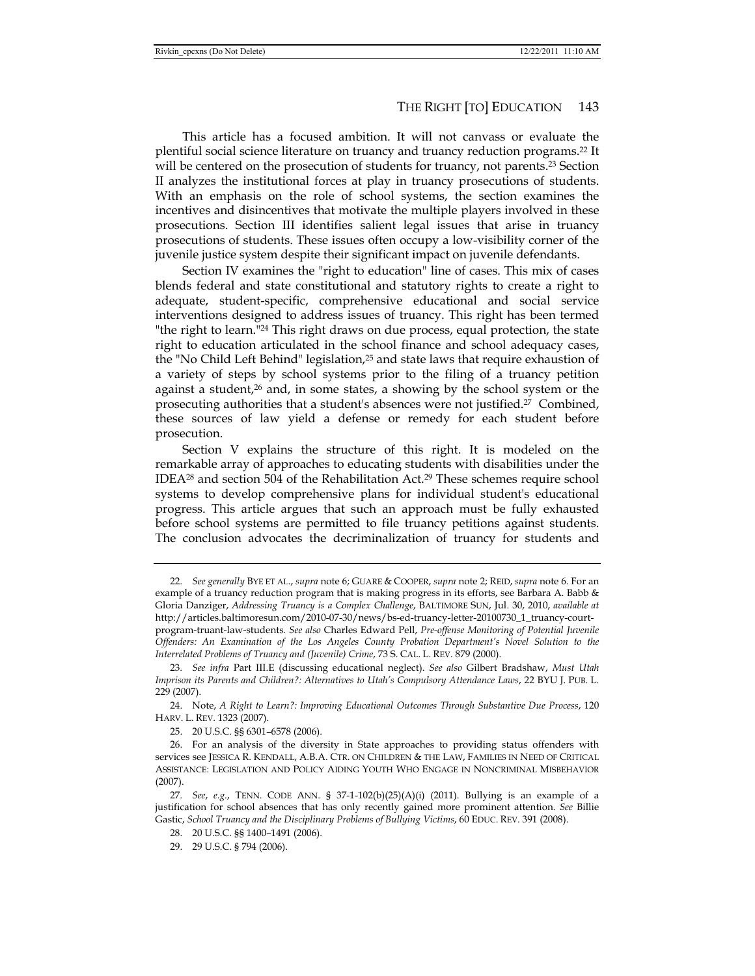This article has a focused ambition. It will not canvass or evaluate the plentiful social science literature on truancy and truancy reduction programs.22 It will be centered on the prosecution of students for truancy, not parents.<sup>23</sup> Section II analyzes the institutional forces at play in truancy prosecutions of students. With an emphasis on the role of school systems, the section examines the incentives and disincentives that motivate the multiple players involved in these prosecutions. Section III identifies salient legal issues that arise in truancy prosecutions of students. These issues often occupy a low-visibility corner of the juvenile justice system despite their significant impact on juvenile defendants.

Section IV examines the "right to education" line of cases. This mix of cases blends federal and state constitutional and statutory rights to create a right to adequate, student-specific, comprehensive educational and social service interventions designed to address issues of truancy. This right has been termed "the right to learn."24 This right draws on due process, equal protection, the state right to education articulated in the school finance and school adequacy cases, the "No Child Left Behind" legislation,25 and state laws that require exhaustion of a variety of steps by school systems prior to the filing of a truancy petition against a student, $26$  and, in some states, a showing by the school system or the prosecuting authorities that a student's absences were not justified.27 Combined, these sources of law yield a defense or remedy for each student before prosecution.

Section V explains the structure of this right. It is modeled on the remarkable array of approaches to educating students with disabilities under the IDEA<sup>28</sup> and section 504 of the Rehabilitation Act.<sup>29</sup> These schemes require school systems to develop comprehensive plans for individual student's educational progress. This article argues that such an approach must be fully exhausted before school systems are permitted to file truancy petitions against students. The conclusion advocates the decriminalization of truancy for students and

- 28. 20 U.S.C. §§ 1400–1491 (2006).
- 29. 29 U.S.C. § 794 (2006).

<sup>22</sup>*. See generally* BYE ET AL., *supra* note 6; GUARE & COOPER, *supra* note 2; REID, *supra* note 6. For an example of a truancy reduction program that is making progress in its efforts, see Barbara A. Babb & Gloria Danziger, *Addressing Truancy is a Complex Challenge*, BALTIMORE SUN, Jul. 30, 2010, *available at*  http://articles.baltimoresun.com/2010-07-30/news/bs-ed-truancy-letter-20100730\_1\_truancy-courtprogram-truant-law-students. *See also* Charles Edward Pell, *Pre-offense Monitoring of Potential Juvenile Offenders: An Examination of the Los Angeles County Probation Department's Novel Solution to the Interrelated Problems of Truancy and (Juvenile) Crime*, 73 S. CAL. L. REV. 879 (2000).

<sup>23</sup>*. See infra* Part III.E (discussing educational neglect). *See also* Gilbert Bradshaw, *Must Utah Imprison its Parents and Children?: Alternatives to Utah's Compulsory Attendance Laws*, 22 BYU J. PUB. L. 229 (2007).

 <sup>24.</sup> Note, *A Right to Learn?: Improving Educational Outcomes Through Substantive Due Process*, 120 HARV. L. REV. 1323 (2007).

 <sup>25. 20</sup> U.S.C. §§ 6301–6578 (2006).

 <sup>26.</sup> For an analysis of the diversity in State approaches to providing status offenders with services see JESSICA R. KENDALL, A.B.A. CTR. ON CHILDREN & THE LAW, FAMILIES IN NEED OF CRITICAL ASSISTANCE: LEGISLATION AND POLICY AIDING YOUTH WHO ENGAGE IN NONCRIMINAL MISBEHAVIOR (2007).

<sup>27</sup>*. See*, *e.g.*, TENN. CODE ANN. § 37-1-102(b)(25)(A)(i) (2011). Bullying is an example of a justification for school absences that has only recently gained more prominent attention. *See* Billie Gastic, *School Truancy and the Disciplinary Problems of Bullying Victims*, 60 EDUC. REV. 391 (2008).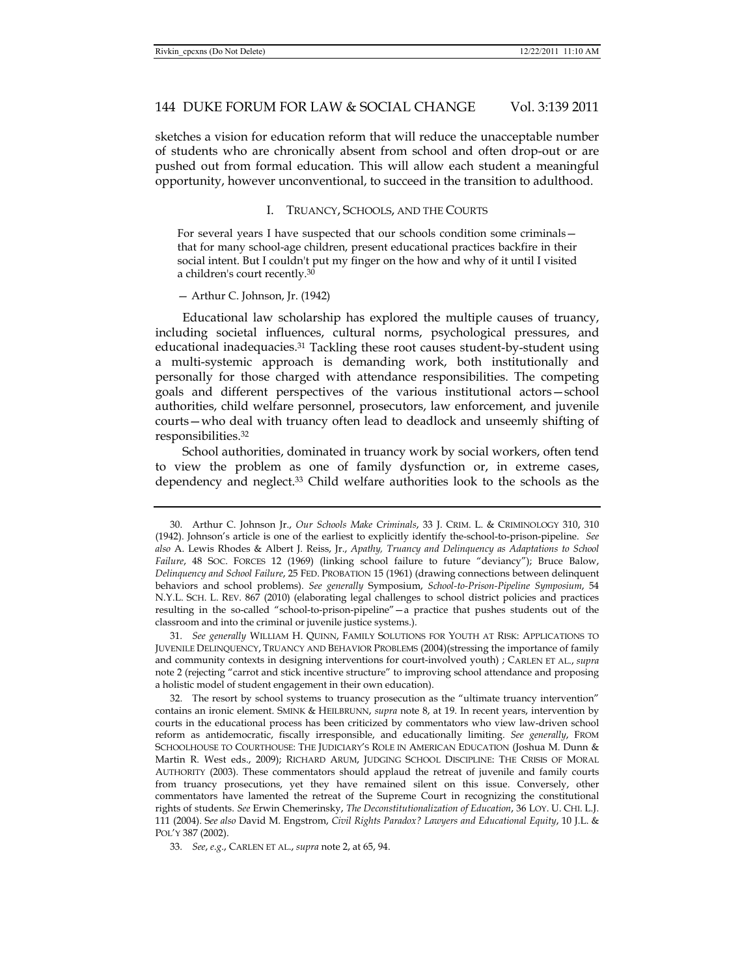sketches a vision for education reform that will reduce the unacceptable number of students who are chronically absent from school and often drop-out or are pushed out from formal education. This will allow each student a meaningful opportunity, however unconventional, to succeed in the transition to adulthood.

## I. TRUANCY, SCHOOLS, AND THE COURTS

For several years I have suspected that our schools condition some criminals that for many school-age children, present educational practices backfire in their social intent. But I couldn't put my finger on the how and why of it until I visited a children's court recently.30

#### — Arthur C. Johnson, Jr. (1942)

Educational law scholarship has explored the multiple causes of truancy, including societal influences, cultural norms, psychological pressures, and educational inadequacies.31 Tackling these root causes student-by-student using a multi-systemic approach is demanding work, both institutionally and personally for those charged with attendance responsibilities. The competing goals and different perspectives of the various institutional actors—school authorities, child welfare personnel, prosecutors, law enforcement, and juvenile courts—who deal with truancy often lead to deadlock and unseemly shifting of responsibilities.32

School authorities, dominated in truancy work by social workers, often tend to view the problem as one of family dysfunction or, in extreme cases, dependency and neglect.33 Child welfare authorities look to the schools as the

 <sup>30.</sup> Arthur C. Johnson Jr., *Our Schools Make Criminals*, 33 J. CRIM. L. & CRIMINOLOGY 310, 310 (1942). Johnson's article is one of the earliest to explicitly identify the-school-to-prison-pipeline. *See also* A. Lewis Rhodes & Albert J. Reiss, Jr., *Apathy, Truancy and Delinquency as Adaptations to School Failure*, 48 SOC. FORCES 12 (1969) (linking school failure to future "deviancy"); Bruce Balow, *Delinquency and School Failure*, 25 FED. PROBATION 15 (1961) (drawing connections between delinquent behaviors and school problems). *See generally* Symposium, *School-to-Prison-Pipeline Symposium*, 54 N.Y.L. SCH. L. REV. 867 (2010) (elaborating legal challenges to school district policies and practices resulting in the so-called "school-to-prison-pipeline"—a practice that pushes students out of the classroom and into the criminal or juvenile justice systems.).

<sup>31</sup>*. See generally* WILLIAM H. QUINN, FAMILY SOLUTIONS FOR YOUTH AT RISK: APPLICATIONS TO JUVENILE DELINQUENCY, TRUANCY AND BEHAVIOR PROBLEMS (2004)(stressing the importance of family and community contexts in designing interventions for court-involved youth) ; CARLEN ET AL., *supra*  note 2 (rejecting "carrot and stick incentive structure" to improving school attendance and proposing a holistic model of student engagement in their own education).

 <sup>32.</sup> The resort by school systems to truancy prosecution as the "ultimate truancy intervention" contains an ironic element. SMINK & HEILBRUNN, *supra* note 8, at 19. In recent years, intervention by courts in the educational process has been criticized by commentators who view law-driven school reform as antidemocratic, fiscally irresponsible, and educationally limiting. *See generally*, FROM SCHOOLHOUSE TO COURTHOUSE: THE JUDICIARY'S ROLE IN AMERICAN EDUCATION (Joshua M. Dunn & Martin R. West eds., 2009); RICHARD ARUM, JUDGING SCHOOL DISCIPLINE: THE CRISIS OF MORAL AUTHORITY (2003). These commentators should applaud the retreat of juvenile and family courts from truancy prosecutions, yet they have remained silent on this issue. Conversely, other commentators have lamented the retreat of the Supreme Court in recognizing the constitutional rights of students. *See* Erwin Chemerinsky, *The Deconstitutionalization of Education*, 36 LOY. U. CHI. L.J. 111 (2004). S*ee also* David M. Engstrom, *Civil Rights Paradox? Lawyers and Educational Equity*, 10 J.L. & POL'Y 387 (2002).

<sup>33</sup>*. See*, *e*.*g*., CARLEN ET AL., *supra* note 2, at 65, 94.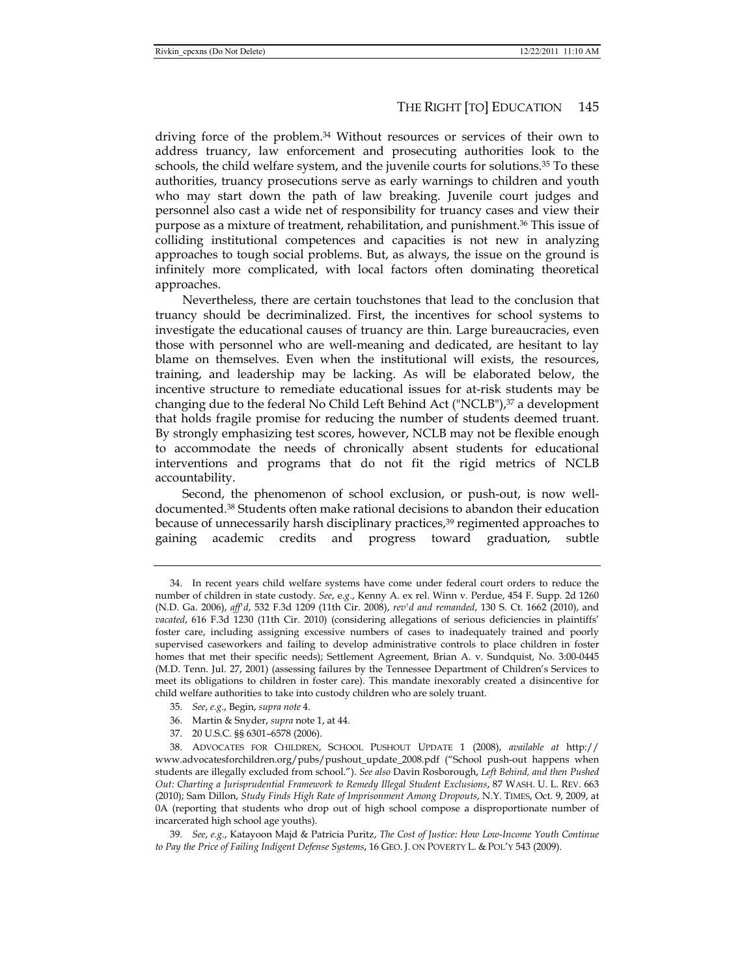driving force of the problem.34 Without resources or services of their own to address truancy, law enforcement and prosecuting authorities look to the schools, the child welfare system, and the juvenile courts for solutions.35 To these authorities, truancy prosecutions serve as early warnings to children and youth who may start down the path of law breaking. Juvenile court judges and personnel also cast a wide net of responsibility for truancy cases and view their purpose as a mixture of treatment, rehabilitation, and punishment.36 This issue of colliding institutional competences and capacities is not new in analyzing approaches to tough social problems. But, as always, the issue on the ground is infinitely more complicated, with local factors often dominating theoretical approaches.

Nevertheless, there are certain touchstones that lead to the conclusion that truancy should be decriminalized. First, the incentives for school systems to investigate the educational causes of truancy are thin. Large bureaucracies, even those with personnel who are well-meaning and dedicated, are hesitant to lay blame on themselves. Even when the institutional will exists, the resources, training, and leadership may be lacking. As will be elaborated below, the incentive structure to remediate educational issues for at-risk students may be changing due to the federal No Child Left Behind Act ("NCLB"), $37$  a development that holds fragile promise for reducing the number of students deemed truant. By strongly emphasizing test scores, however, NCLB may not be flexible enough to accommodate the needs of chronically absent students for educational interventions and programs that do not fit the rigid metrics of NCLB accountability.

Second, the phenomenon of school exclusion, or push-out, is now welldocumented.38 Students often make rational decisions to abandon their education because of unnecessarily harsh disciplinary practices,39 regimented approaches to gaining academic credits and progress toward graduation, subtle

- 35*. See*, *e.g*., Begin, *supra note* 4.
- 36. Martin & Snyder, *supra* note 1, at 44.
- 37. 20 U.S.C. §§ 6301–6578 (2006).

 <sup>34.</sup> In recent years child welfare systems have come under federal court orders to reduce the number of children in state custody. *See*, e*.g*., Kenny A. ex rel. Winn v. Perdue, 454 F. Supp. 2d 1260 (N.D. Ga. 2006), *aff'd*, 532 F.3d 1209 (11th Cir. 2008), *rev'd and remanded*, 130 S. Ct. 1662 (2010), and *vacated*, 616 F.3d 1230 (11th Cir. 2010) (considering allegations of serious deficiencies in plaintiffs' foster care, including assigning excessive numbers of cases to inadequately trained and poorly supervised caseworkers and failing to develop administrative controls to place children in foster homes that met their specific needs); Settlement Agreement, Brian A. v. Sundquist, No. 3:00-0445 (M.D. Tenn. Jul. 27, 2001) (assessing failures by the Tennessee Department of Children's Services to meet its obligations to children in foster care). This mandate inexorably created a disincentive for child welfare authorities to take into custody children who are solely truant.

 <sup>38.</sup> ADVOCATES FOR CHILDREN, SCHOOL PUSHOUT UPDATE 1 (2008), *available at* http:// www.advocatesforchildren.org/pubs/pushout\_update\_2008.pdf ("School push-out happens when students are illegally excluded from school."). *See also* Davin Rosborough, *Left Behind, and then Pushed Out: Charting a Jurisprudential Framework to Remedy Illegal Student Exclusions*, 87 WASH. U. L. REV. 663 (2010); Sam Dillon, *Study Finds High Rate of Imprisonment Among Dropouts*, N.Y. TIMES, Oct. 9, 2009, at 0A (reporting that students who drop out of high school compose a disproportionate number of incarcerated high school age youths).

<sup>39</sup>*. See*, *e.g*., Katayoon Majd & Patricia Puritz, *The Cost of Justice: How Low-Income Youth Continue to Pay the Price of Failing Indigent Defense Systems*, 16 GEO. J. ON POVERTY L. & POL'Y 543 (2009).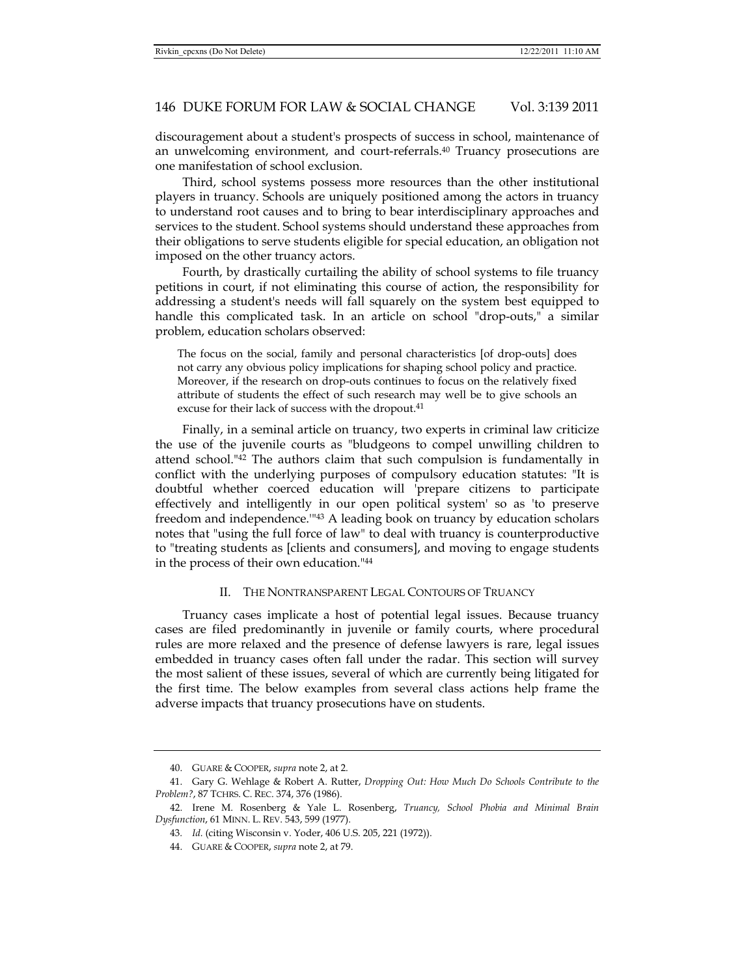discouragement about a student's prospects of success in school, maintenance of an unwelcoming environment, and court-referrals.40 Truancy prosecutions are one manifestation of school exclusion.

Third, school systems possess more resources than the other institutional players in truancy. Schools are uniquely positioned among the actors in truancy to understand root causes and to bring to bear interdisciplinary approaches and services to the student. School systems should understand these approaches from their obligations to serve students eligible for special education, an obligation not imposed on the other truancy actors.

Fourth, by drastically curtailing the ability of school systems to file truancy petitions in court, if not eliminating this course of action, the responsibility for addressing a student's needs will fall squarely on the system best equipped to handle this complicated task. In an article on school "drop-outs," a similar problem, education scholars observed:

The focus on the social, family and personal characteristics [of drop-outs] does not carry any obvious policy implications for shaping school policy and practice. Moreover, if the research on drop-outs continues to focus on the relatively fixed attribute of students the effect of such research may well be to give schools an excuse for their lack of success with the dropout.<sup>41</sup>

Finally, in a seminal article on truancy, two experts in criminal law criticize the use of the juvenile courts as "bludgeons to compel unwilling children to attend school."42 The authors claim that such compulsion is fundamentally in conflict with the underlying purposes of compulsory education statutes: "It is doubtful whether coerced education will 'prepare citizens to participate effectively and intelligently in our open political system' so as 'to preserve freedom and independence.'"43 A leading book on truancy by education scholars notes that "using the full force of law" to deal with truancy is counterproductive to "treating students as [clients and consumers], and moving to engage students in the process of their own education."44

# II. THE NONTRANSPARENT LEGAL CONTOURS OF TRUANCY

Truancy cases implicate a host of potential legal issues. Because truancy cases are filed predominantly in juvenile or family courts, where procedural rules are more relaxed and the presence of defense lawyers is rare, legal issues embedded in truancy cases often fall under the radar. This section will survey the most salient of these issues, several of which are currently being litigated for the first time. The below examples from several class actions help frame the adverse impacts that truancy prosecutions have on students.

 <sup>40.</sup> GUARE & COOPER, *supra* note 2, at 2.

 <sup>41.</sup> Gary G. Wehlage & Robert A. Rutter, *Dropping Out: How Much Do Schools Contribute to the Problem?*, 87 TCHRS. C. REC. 374, 376 (1986).

 <sup>42.</sup> Irene M. Rosenberg & Yale L. Rosenberg, *Truancy, School Phobia and Minimal Brain Dysfunction*, 61 MINN. L. REV. 543, 599 (1977).

<sup>43</sup>*. Id.* (citing Wisconsin v. Yoder, 406 U.S. 205, 221 (1972)).

 <sup>44.</sup> GUARE & COOPER, *supra* note 2, at 79.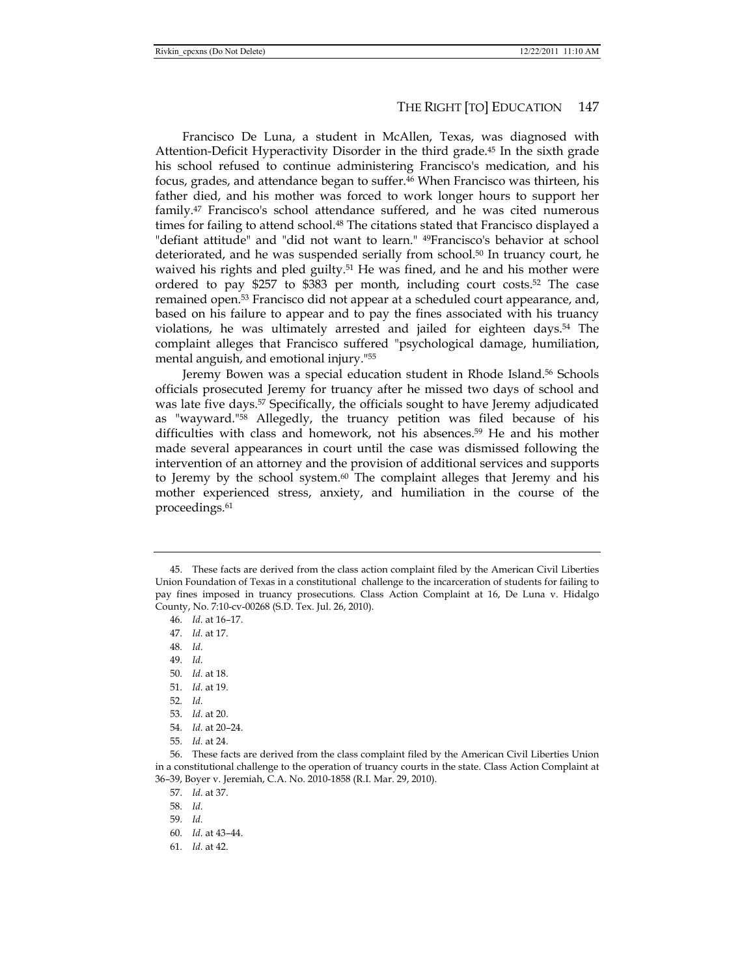Francisco De Luna, a student in McAllen, Texas, was diagnosed with Attention-Deficit Hyperactivity Disorder in the third grade.45 In the sixth grade his school refused to continue administering Francisco's medication, and his focus, grades, and attendance began to suffer.46 When Francisco was thirteen, his father died, and his mother was forced to work longer hours to support her family.47 Francisco's school attendance suffered, and he was cited numerous times for failing to attend school.48 The citations stated that Francisco displayed a "defiant attitude" and "did not want to learn." 49Francisco's behavior at school deteriorated, and he was suspended serially from school.50 In truancy court, he waived his rights and pled guilty.<sup>51</sup> He was fined, and he and his mother were ordered to pay \$257 to \$383 per month, including court costs.52 The case remained open.53 Francisco did not appear at a scheduled court appearance, and, based on his failure to appear and to pay the fines associated with his truancy violations, he was ultimately arrested and jailed for eighteen days.54 The complaint alleges that Francisco suffered "psychological damage, humiliation, mental anguish, and emotional injury."55

Jeremy Bowen was a special education student in Rhode Island.56 Schools officials prosecuted Jeremy for truancy after he missed two days of school and was late five days.<sup>57</sup> Specifically, the officials sought to have Jeremy adjudicated as "wayward."58 Allegedly, the truancy petition was filed because of his difficulties with class and homework, not his absences.59 He and his mother made several appearances in court until the case was dismissed following the intervention of an attorney and the provision of additional services and supports to Jeremy by the school system. $60$  The complaint alleges that Jeremy and his mother experienced stress, anxiety, and humiliation in the course of the proceedings.<sup>61</sup>

- 48*. Id.*
- 49*. Id.*
- 50*. Id.* at 18.
- 51*. Id.* at 19.
- 52*. Id.*
- 53*. Id.* at 20.
- 54*. Id.* at 20–24.
- 55*. Id.* at 24.

 56. These facts are derived from the class complaint filed by the American Civil Liberties Union in a constitutional challenge to the operation of truancy courts in the state. Class Action Complaint at 36–39, Boyer v. Jeremiah, C.A. No. 2010-1858 (R.I. Mar. 29, 2010).

61*. Id.* at 42.

 <sup>45.</sup> These facts are derived from the class action complaint filed by the American Civil Liberties Union Foundation of Texas in a constitutional challenge to the incarceration of students for failing to pay fines imposed in truancy prosecutions. Class Action Complaint at 16, De Luna v. Hidalgo County, No. 7:10-cv-00268 (S.D. Tex. Jul. 26, 2010).

<sup>46</sup>*. Id.* at 16–17.

<sup>47</sup>*. Id.* at 17.

<sup>57</sup>*. Id.* at 37.

<sup>58</sup>*. Id.*

<sup>59</sup>*. Id.*

<sup>60</sup>*. Id.* at 43–44.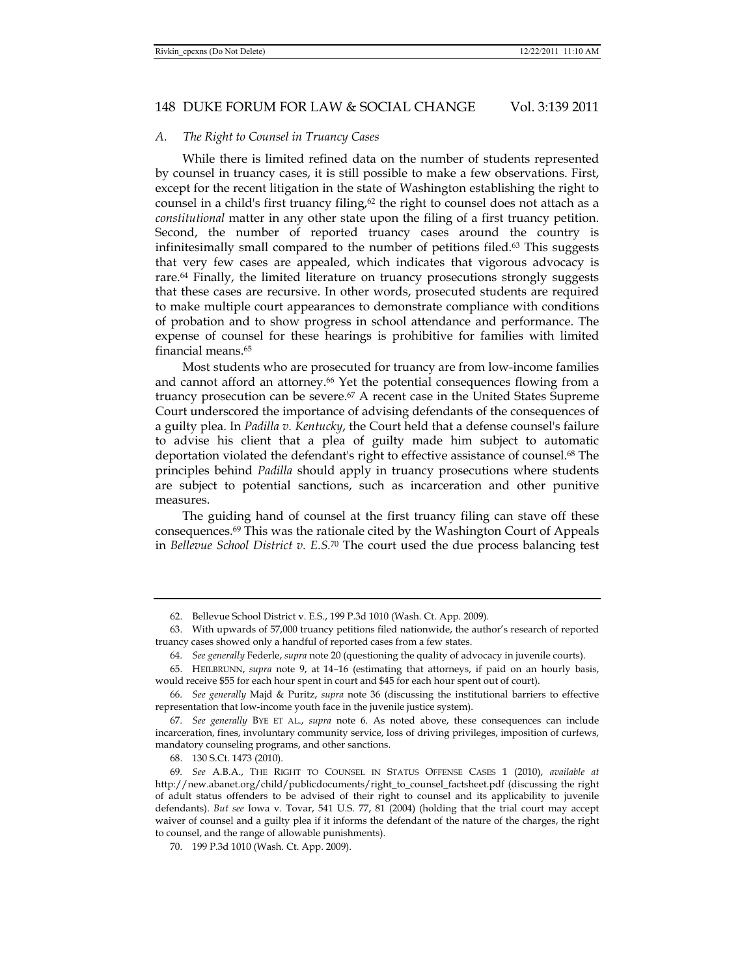#### *A. The Right to Counsel in Truancy Cases*

While there is limited refined data on the number of students represented by counsel in truancy cases, it is still possible to make a few observations. First, except for the recent litigation in the state of Washington establishing the right to counsel in a child's first truancy filing, $62$  the right to counsel does not attach as a *constitutional* matter in any other state upon the filing of a first truancy petition. Second, the number of reported truancy cases around the country is infinitesimally small compared to the number of petitions filed.<sup>63</sup> This suggests that very few cases are appealed, which indicates that vigorous advocacy is rare.64 Finally, the limited literature on truancy prosecutions strongly suggests that these cases are recursive. In other words, prosecuted students are required to make multiple court appearances to demonstrate compliance with conditions of probation and to show progress in school attendance and performance. The expense of counsel for these hearings is prohibitive for families with limited financial means.65

Most students who are prosecuted for truancy are from low-income families and cannot afford an attorney.<sup>66</sup> Yet the potential consequences flowing from a truancy prosecution can be severe.67 A recent case in the United States Supreme Court underscored the importance of advising defendants of the consequences of a guilty plea. In *Padilla v. Kentucky*, the Court held that a defense counsel's failure to advise his client that a plea of guilty made him subject to automatic deportation violated the defendant's right to effective assistance of counsel.68 The principles behind *Padilla* should apply in truancy prosecutions where students are subject to potential sanctions, such as incarceration and other punitive measures.

The guiding hand of counsel at the first truancy filing can stave off these consequences. $69$  This was the rationale cited by the Washington Court of Appeals in *Bellevue School District v. E.S.*70 The court used the due process balancing test

68. 130 S.Ct. 1473 (2010).

 <sup>62.</sup> Bellevue School District v. E.S., 199 P.3d 1010 (Wash. Ct. App. 2009).

 <sup>63.</sup> With upwards of 57,000 truancy petitions filed nationwide, the author's research of reported truancy cases showed only a handful of reported cases from a few states.

<sup>64</sup>*. See generally* Federle, *supra* note 20 (questioning the quality of advocacy in juvenile courts).

 <sup>65.</sup> HEILBRUNN, *supra* note 9, at 14–16 (estimating that attorneys, if paid on an hourly basis, would receive \$55 for each hour spent in court and \$45 for each hour spent out of court).

<sup>66</sup>*. See generally* Majd & Puritz, *supra* note 36 (discussing the institutional barriers to effective representation that low-income youth face in the juvenile justice system).

<sup>67</sup>*. See generally* BYE ET AL., *supra* note 6. As noted above, these consequences can include incarceration, fines, involuntary community service, loss of driving privileges, imposition of curfews, mandatory counseling programs, and other sanctions.

<sup>69</sup>*. See* A.B.A., THE RIGHT TO COUNSEL IN STATUS OFFENSE CASES 1 (2010), *available at* http://new.abanet.org/child/publicdocuments/right\_to\_counsel\_factsheet.pdf (discussing the right of adult status offenders to be advised of their right to counsel and its applicability to juvenile defendants). *But see* Iowa v. Tovar, 541 U.S. 77, 81 (2004) (holding that the trial court may accept waiver of counsel and a guilty plea if it informs the defendant of the nature of the charges, the right to counsel, and the range of allowable punishments).

 <sup>70. 199</sup> P.3d 1010 (Wash. Ct. App. 2009).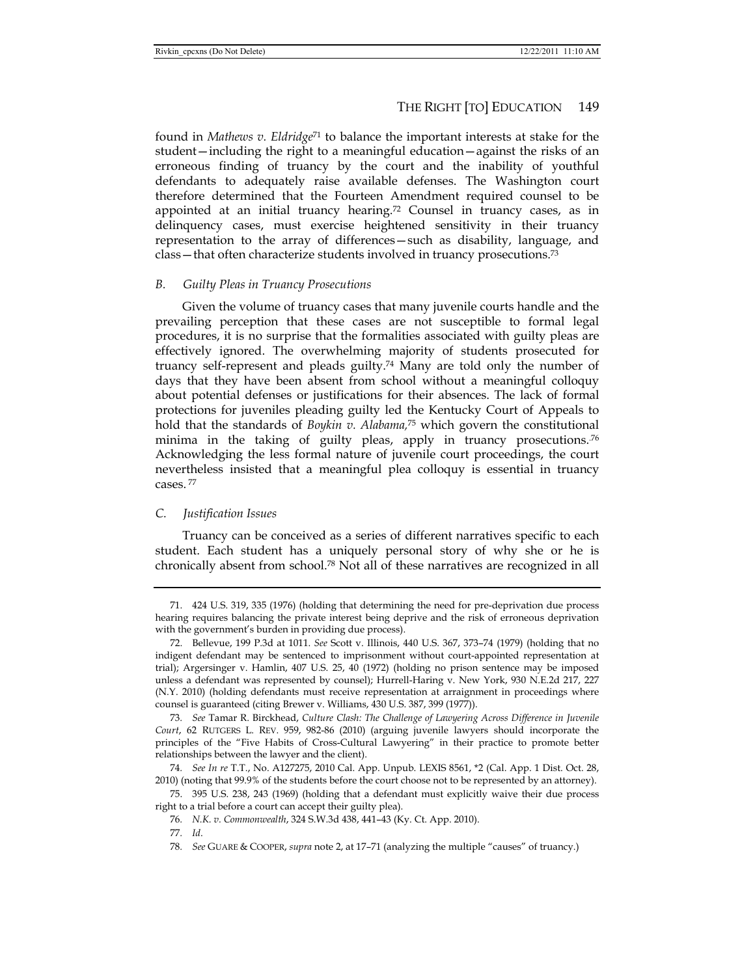found in *Mathews v. Eldridge*71 to balance the important interests at stake for the student—including the right to a meaningful education—against the risks of an erroneous finding of truancy by the court and the inability of youthful defendants to adequately raise available defenses. The Washington court therefore determined that the Fourteen Amendment required counsel to be appointed at an initial truancy hearing.<sup>72</sup> Counsel in truancy cases, as in delinquency cases, must exercise heightened sensitivity in their truancy representation to the array of differences—such as disability, language, and class—that often characterize students involved in truancy prosecutions.73

# *B. Guilty Pleas in Truancy Prosecutions*

Given the volume of truancy cases that many juvenile courts handle and the prevailing perception that these cases are not susceptible to formal legal procedures, it is no surprise that the formalities associated with guilty pleas are effectively ignored. The overwhelming majority of students prosecuted for truancy self-represent and pleads guilty.74 Many are told only the number of days that they have been absent from school without a meaningful colloquy about potential defenses or justifications for their absences. The lack of formal protections for juveniles pleading guilty led the Kentucky Court of Appeals to hold that the standards of *Boykin v. Alabama,*<sup>75</sup> which govern the constitutional minima in the taking of guilty pleas, apply in truancy prosecutions.<sup>76</sup> Acknowledging the less formal nature of juvenile court proceedings, the court nevertheless insisted that a meaningful plea colloquy is essential in truancy cases. 77

# *C. Justification Issues*

Truancy can be conceived as a series of different narratives specific to each student. Each student has a uniquely personal story of why she or he is chronically absent from school.78 Not all of these narratives are recognized in all

 <sup>71. 424</sup> U.S. 319, 335 (1976) (holding that determining the need for pre-deprivation due process hearing requires balancing the private interest being deprive and the risk of erroneous deprivation with the government's burden in providing due process).

 <sup>72.</sup> Bellevue, 199 P.3d at 1011. *See* Scott v. Illinois, 440 U.S. 367, 373–74 (1979) (holding that no indigent defendant may be sentenced to imprisonment without court-appointed representation at trial); Argersinger v. Hamlin, 407 U.S. 25, 40 (1972) (holding no prison sentence may be imposed unless a defendant was represented by counsel); Hurrell-Haring v. New York, 930 N.E.2d 217, 227 (N.Y. 2010) (holding defendants must receive representation at arraignment in proceedings where counsel is guaranteed (citing Brewer v. Williams, 430 U.S. 387, 399 (1977)).

<sup>73</sup>*. See* Tamar R. Birckhead, *Culture Clash: The Challenge of Lawyering Across Difference in Juvenile Court*, 62 RUTGERS L. REV. 959, 982-86 (2010) (arguing juvenile lawyers should incorporate the principles of the "Five Habits of Cross-Cultural Lawyering" in their practice to promote better relationships between the lawyer and the client).

<sup>74</sup>*. See In re* T.T., No. A127275, 2010 Cal. App. Unpub. LEXIS 8561, \*2 (Cal. App. 1 Dist. Oct. 28, 2010) (noting that 99.9% of the students before the court choose not to be represented by an attorney).

 <sup>75. 395</sup> U.S. 238, 243 (1969) (holding that a defendant must explicitly waive their due process right to a trial before a court can accept their guilty plea).

<sup>76</sup>*. N.K. v. Commonwealth*, 324 S.W.3d 438, 441–43 (Ky. Ct. App. 2010).

<sup>77</sup>*. Id*.

<sup>78</sup>*. See* GUARE & COOPER, *supra* note 2, at 17–71 (analyzing the multiple "causes" of truancy.)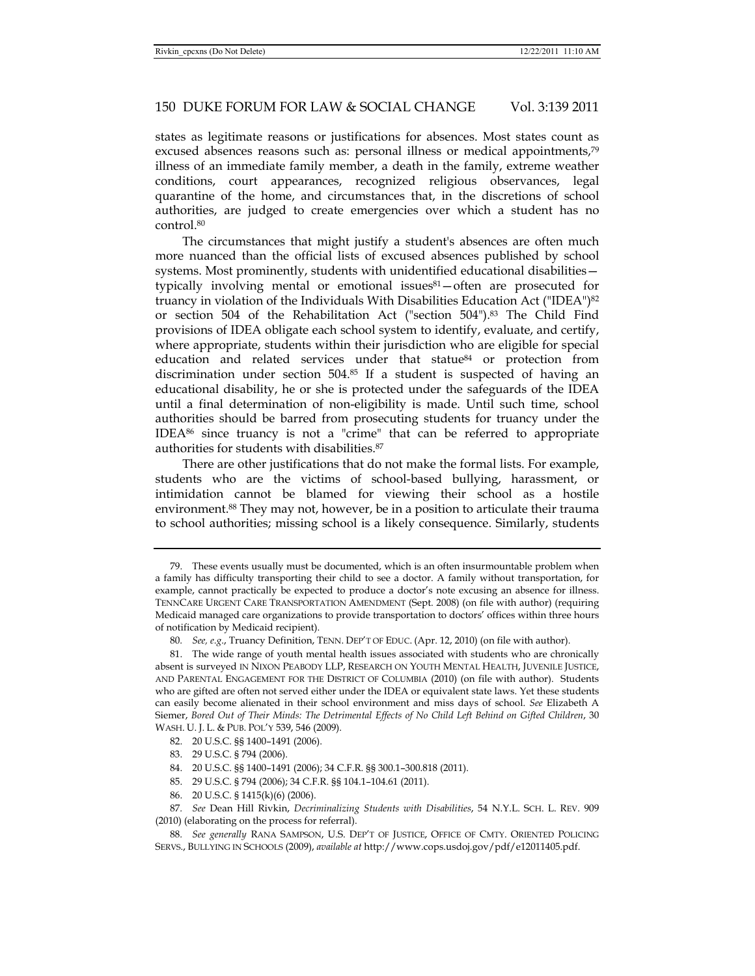states as legitimate reasons or justifications for absences. Most states count as excused absences reasons such as: personal illness or medical appointments,<sup>79</sup> illness of an immediate family member, a death in the family, extreme weather conditions, court appearances, recognized religious observances, legal quarantine of the home, and circumstances that, in the discretions of school authorities, are judged to create emergencies over which a student has no control.80

The circumstances that might justify a student's absences are often much more nuanced than the official lists of excused absences published by school systems. Most prominently, students with unidentified educational disabilities typically involving mental or emotional issues $81-$ often are prosecuted for truancy in violation of the Individuals With Disabilities Education Act ("IDEA")82 or section 504 of the Rehabilitation Act ("section 504").83 The Child Find provisions of IDEA obligate each school system to identify, evaluate, and certify, where appropriate, students within their jurisdiction who are eligible for special education and related services under that statue<sup>84</sup> or protection from discrimination under section  $504<sup>85</sup>$  If a student is suspected of having an educational disability, he or she is protected under the safeguards of the IDEA until a final determination of non-eligibility is made. Until such time, school authorities should be barred from prosecuting students for truancy under the IDEA86 since truancy is not a "crime" that can be referred to appropriate authorities for students with disabilities.87

There are other justifications that do not make the formal lists. For example, students who are the victims of school-based bullying, harassment, or intimidation cannot be blamed for viewing their school as a hostile environment.88 They may not, however, be in a position to articulate their trauma to school authorities; missing school is a likely consequence. Similarly, students

 <sup>79.</sup> These events usually must be documented, which is an often insurmountable problem when a family has difficulty transporting their child to see a doctor. A family without transportation, for example, cannot practically be expected to produce a doctor's note excusing an absence for illness. TENNCARE URGENT CARE TRANSPORTATION AMENDMENT (Sept. 2008) (on file with author) (requiring Medicaid managed care organizations to provide transportation to doctors' offices within three hours of notification by Medicaid recipient).

<sup>80</sup>*. See, e.g*., Truancy Definition, TENN. DEP'T OF EDUC. (Apr. 12, 2010) (on file with author).

 <sup>81.</sup> The wide range of youth mental health issues associated with students who are chronically absent is surveyed IN NIXON PEABODY LLP, RESEARCH ON YOUTH MENTAL HEALTH, JUVENILE JUSTICE, AND PARENTAL ENGAGEMENT FOR THE DISTRICT OF COLUMBIA (2010) (on file with author). Students who are gifted are often not served either under the IDEA or equivalent state laws. Yet these students can easily become alienated in their school environment and miss days of school. *See* Elizabeth A Siemer, *Bored Out of Their Minds: The Detrimental Effects of No Child Left Behind on Gifted Children*, 30 WASH. U. J. L. & PUB. POL'Y 539, 546 (2009).

 <sup>82. 20</sup> U.S.C. §§ 1400–1491 (2006).

 <sup>83. 29</sup> U.S.C. § 794 (2006).

 <sup>84. 20</sup> U.S.C. §§ 1400–1491 (2006); 34 C.F.R. §§ 300.1–300.818 (2011).

 <sup>85. 29</sup> U.S.C. § 794 (2006); 34 C.F.R. §§ 104.1–104.61 (2011).

 <sup>86. 20</sup> U.S.C. § 1415(k)(6) (2006).

<sup>87</sup>*. See* Dean Hill Rivkin, *Decriminalizing Students with Disabilities*, 54 N.Y.L. SCH. L. REV. 909 (2010) (elaborating on the process for referral).

<sup>88</sup>*. See generally* RANA SAMPSON, U.S. DEP'T OF JUSTICE, OFFICE OF CMTY. ORIENTED POLICING SERVS., BULLYING IN SCHOOLS (2009), *available at* http://www.cops.usdoj.gov/pdf/e12011405.pdf.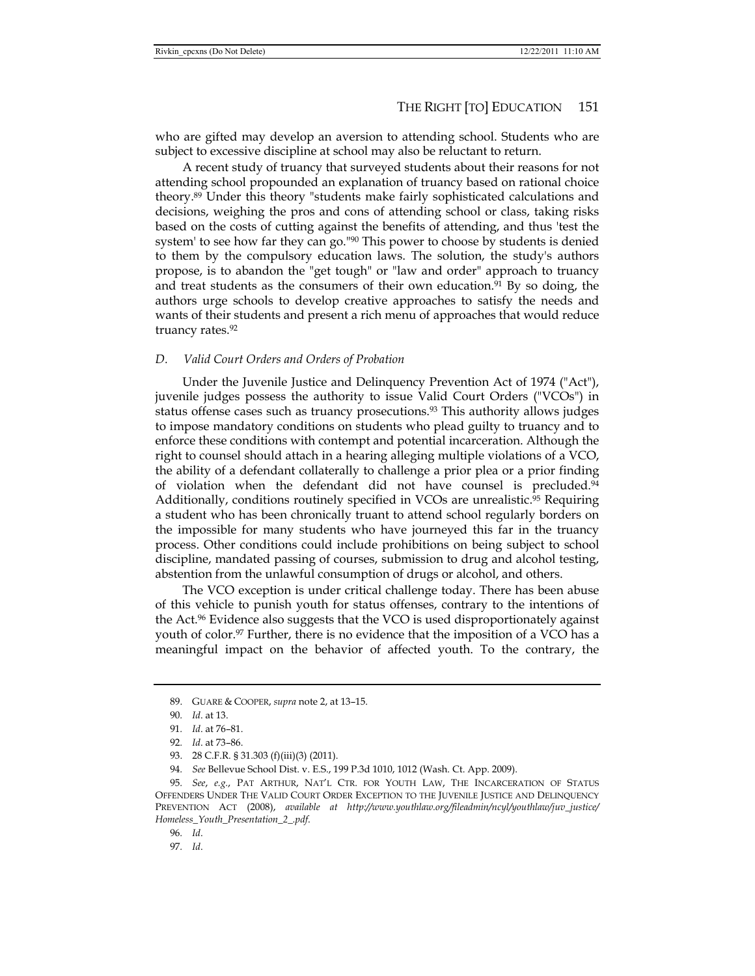who are gifted may develop an aversion to attending school. Students who are subject to excessive discipline at school may also be reluctant to return.

A recent study of truancy that surveyed students about their reasons for not attending school propounded an explanation of truancy based on rational choice theory.89 Under this theory "students make fairly sophisticated calculations and decisions, weighing the pros and cons of attending school or class, taking risks based on the costs of cutting against the benefits of attending, and thus 'test the system' to see how far they can go."<sup>90</sup> This power to choose by students is denied to them by the compulsory education laws. The solution, the study's authors propose, is to abandon the "get tough" or "law and order" approach to truancy and treat students as the consumers of their own education.<sup>91</sup> By so doing, the authors urge schools to develop creative approaches to satisfy the needs and wants of their students and present a rich menu of approaches that would reduce truancy rates.<sup>92</sup>

#### *D. Valid Court Orders and Orders of Probation*

Under the Juvenile Justice and Delinquency Prevention Act of 1974 ("Act"), juvenile judges possess the authority to issue Valid Court Orders ("VCOs") in status offense cases such as truancy prosecutions.<sup>93</sup> This authority allows judges to impose mandatory conditions on students who plead guilty to truancy and to enforce these conditions with contempt and potential incarceration. Although the right to counsel should attach in a hearing alleging multiple violations of a VCO, the ability of a defendant collaterally to challenge a prior plea or a prior finding of violation when the defendant did not have counsel is precluded.<sup>94</sup> Additionally, conditions routinely specified in VCOs are unrealistic.<sup>95</sup> Requiring a student who has been chronically truant to attend school regularly borders on the impossible for many students who have journeyed this far in the truancy process. Other conditions could include prohibitions on being subject to school discipline, mandated passing of courses, submission to drug and alcohol testing, abstention from the unlawful consumption of drugs or alcohol, and others.

The VCO exception is under critical challenge today. There has been abuse of this vehicle to punish youth for status offenses, contrary to the intentions of the Act.96 Evidence also suggests that the VCO is used disproportionately against youth of color.<sup>97</sup> Further, there is no evidence that the imposition of a VCO has a meaningful impact on the behavior of affected youth. To the contrary, the

 <sup>89.</sup> GUARE & COOPER, *supra* note 2, at 13–15.

<sup>90</sup>*. Id*. at 13.

<sup>91</sup>*. Id*. at 76–81.

<sup>92</sup>*. Id*. at 73–86.

<sup>93. 28</sup> C.F.R. § 31.303 (f)(iii)(3) (2011).

<sup>94</sup>*. See* Bellevue School Dist. v. E.S., 199 P.3d 1010, 1012 (Wash. Ct. App. 2009).

<sup>95</sup>*. See*, *e.g.*, PAT ARTHUR, NAT'L CTR. FOR YOUTH LAW, THE INCARCERATION OF STATUS OFFENDERS UNDER THE VALID COURT ORDER EXCEPTION TO THE JUVENILE JUSTICE AND DELINQUENCY PREVENTION ACT (2008), *available at http://www.youthlaw.org/fileadmin/ncyl/youthlaw/juv\_justice/ Homeless\_Youth\_Presentation\_2\_.pdf*.

<sup>96</sup>*. Id*.

<sup>97</sup>*. Id*.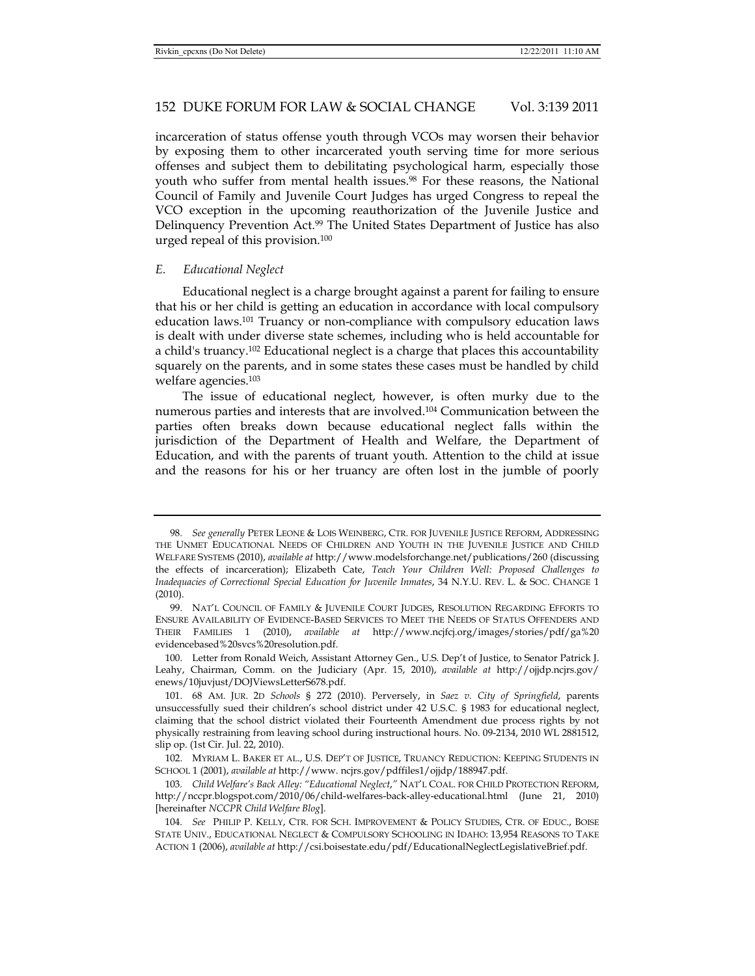incarceration of status offense youth through VCOs may worsen their behavior by exposing them to other incarcerated youth serving time for more serious offenses and subject them to debilitating psychological harm, especially those youth who suffer from mental health issues.98 For these reasons, the National Council of Family and Juvenile Court Judges has urged Congress to repeal the VCO exception in the upcoming reauthorization of the Juvenile Justice and Delinquency Prevention Act.99 The United States Department of Justice has also urged repeal of this provision.100

#### *E. Educational Neglect*

Educational neglect is a charge brought against a parent for failing to ensure that his or her child is getting an education in accordance with local compulsory education laws.101 Truancy or non-compliance with compulsory education laws is dealt with under diverse state schemes, including who is held accountable for a child's truancy.102 Educational neglect is a charge that places this accountability squarely on the parents, and in some states these cases must be handled by child welfare agencies.103

The issue of educational neglect, however, is often murky due to the numerous parties and interests that are involved.104 Communication between the parties often breaks down because educational neglect falls within the jurisdiction of the Department of Health and Welfare, the Department of Education, and with the parents of truant youth. Attention to the child at issue and the reasons for his or her truancy are often lost in the jumble of poorly

<sup>98</sup>*. See generally* PETER LEONE & LOIS WEINBERG, CTR. FOR JUVENILE JUSTICE REFORM, ADDRESSING THE UNMET EDUCATIONAL NEEDS OF CHILDREN AND YOUTH IN THE JUVENILE JUSTICE AND CHILD WELFARE SYSTEMS (2010), *available at* http://www.modelsforchange.net/publications/260 (discussing the effects of incarceration); Elizabeth Cate, *Teach Your Children Well: Proposed Challenges to Inadequacies of Correctional Special Education for Juvenile Inmates*, 34 N.Y.U. REV. L. & SOC. CHANGE 1 (2010).

 <sup>99.</sup> NAT'L COUNCIL OF FAMILY & JUVENILE COURT JUDGES, RESOLUTION REGARDING EFFORTS TO ENSURE AVAILABILITY OF EVIDENCE-BASED SERVICES TO MEET THE NEEDS OF STATUS OFFENDERS AND THEIR FAMILIES 1 (2010), *available at* http://www.ncjfcj.org/images/stories/pdf/ga%20 evidencebased%20svcs%20resolution.pdf.

 <sup>100.</sup> Letter from Ronald Weich, Assistant Attorney Gen., U.S. Dep't of Justice, to Senator Patrick J. Leahy, Chairman, Comm. on the Judiciary (Apr. 15, 2010), *available at* http://ojjdp.ncjrs.gov/ enews/10juvjust/DOJViewsLetterS678.pdf.

 <sup>101. 68</sup> AM. JUR. 2D *Schools* § 272 (2010). Perversely, in *Saez v. City of Springfield*, parents unsuccessfully sued their children's school district under 42 U.S.C. § 1983 for educational neglect, claiming that the school district violated their Fourteenth Amendment due process rights by not physically restraining from leaving school during instructional hours. No. 09-2134, 2010 WL 2881512, slip op. (1st Cir. Jul. 22, 2010).

 <sup>102.</sup> MYRIAM L. BAKER ET AL., U.S. DEP'T OF JUSTICE, TRUANCY REDUCTION: KEEPING STUDENTS IN SCHOOL 1 (2001), *available at* http://www. ncjrs.gov/pdffiles1/ojjdp/188947.pdf.

<sup>103</sup>*. Child Welfare's Back Alley: "Educational Neglect*,*"* NAT'L COAL. FOR CHILD PROTECTION REFORM, http://nccpr.blogspot.com/2010/06/child-welfares-back-alley-educational.html (June 21, 2010) [hereinafter *NCCPR Child Welfare Blog*].

<sup>104</sup>*. See* PHILIP P. KELLY, CTR. FOR SCH. IMPROVEMENT & POLICY STUDIES, CTR. OF EDUC., BOISE STATE UNIV., EDUCATIONAL NEGLECT & COMPULSORY SCHOOLING IN IDAHO: 13,954 REASONS TO TAKE ACTION 1 (2006), *available at* http://csi.boisestate.edu/pdf/EducationalNeglectLegislativeBrief.pdf.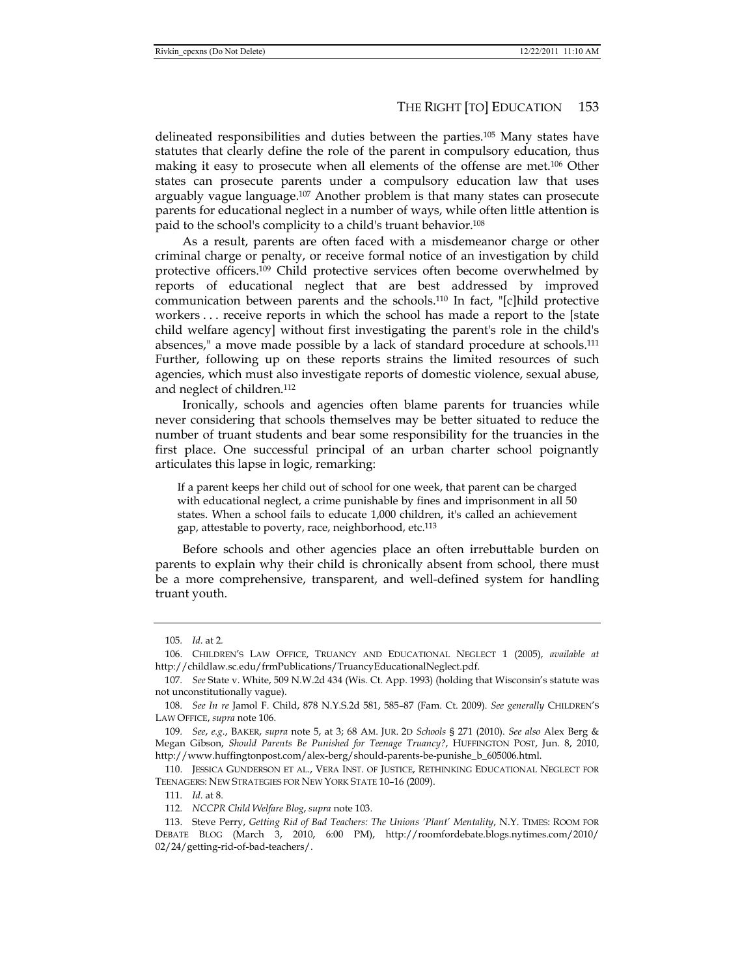delineated responsibilities and duties between the parties.105 Many states have statutes that clearly define the role of the parent in compulsory education, thus making it easy to prosecute when all elements of the offense are met.106 Other states can prosecute parents under a compulsory education law that uses arguably vague language.<sup>107</sup> Another problem is that many states can prosecute parents for educational neglect in a number of ways, while often little attention is paid to the school's complicity to a child's truant behavior.108

As a result, parents are often faced with a misdemeanor charge or other criminal charge or penalty, or receive formal notice of an investigation by child protective officers.109 Child protective services often become overwhelmed by reports of educational neglect that are best addressed by improved communication between parents and the schools.110 In fact, "[c]hild protective workers . . . receive reports in which the school has made a report to the [state child welfare agency] without first investigating the parent's role in the child's absences," a move made possible by a lack of standard procedure at schools.111 Further, following up on these reports strains the limited resources of such agencies, which must also investigate reports of domestic violence, sexual abuse, and neglect of children.112

Ironically, schools and agencies often blame parents for truancies while never considering that schools themselves may be better situated to reduce the number of truant students and bear some responsibility for the truancies in the first place. One successful principal of an urban charter school poignantly articulates this lapse in logic, remarking:

If a parent keeps her child out of school for one week, that parent can be charged with educational neglect, a crime punishable by fines and imprisonment in all 50 states. When a school fails to educate 1,000 children, it's called an achievement gap, attestable to poverty, race, neighborhood, etc.113

Before schools and other agencies place an often irrebuttable burden on parents to explain why their child is chronically absent from school, there must be a more comprehensive, transparent, and well-defined system for handling truant youth.

<sup>105</sup>*. Id.* at 2*.*

 <sup>106.</sup> CHILDREN'S LAW OFFICE, TRUANCY AND EDUCATIONAL NEGLECT 1 (2005), *available at* http://childlaw.sc.edu/frmPublications/TruancyEducationalNeglect.pdf.

<sup>107</sup>*. See* State v. White, 509 N.W.2d 434 (Wis. Ct. App. 1993) (holding that Wisconsin's statute was not unconstitutionally vague).

<sup>108</sup>*. See In re* Jamol F. Child, 878 N.Y.S.2d 581, 585–87 (Fam. Ct. 2009). *See generally* CHILDREN'S LAW OFFICE, *supra* note 106.

<sup>109</sup>*. See*, *e.g.*, BAKER, *supra* note 5, at 3; 68 AM. JUR. 2D *Schools* § 271 (2010). *See also* Alex Berg & Megan Gibson, *Should Parents Be Punished for Teenage Truancy?*, HUFFINGTON POST, Jun. 8, 2010, http://www.huffingtonpost.com/alex-berg/should-parents-be-punishe\_b\_605006.html.

 <sup>110.</sup> JESSICA GUNDERSON ET AL., VERA INST. OF JUSTICE, RETHINKING EDUCATIONAL NEGLECT FOR TEENAGERS: NEW STRATEGIES FOR NEW YORK STATE 10–16 (2009).

<sup>111</sup>*. Id.* at 8.

<sup>112</sup>*. NCCPR Child Welfare Blog*, *supra* note 103.

 <sup>113.</sup> Steve Perry, *Getting Rid of Bad Teachers: The Unions 'Plant' Mentality*, N.Y. TIMES: ROOM FOR DEBATE BLOG (March 3, 2010, 6:00 PM), http://roomfordebate.blogs.nytimes.com/2010/ 02/24/getting-rid-of-bad-teachers/.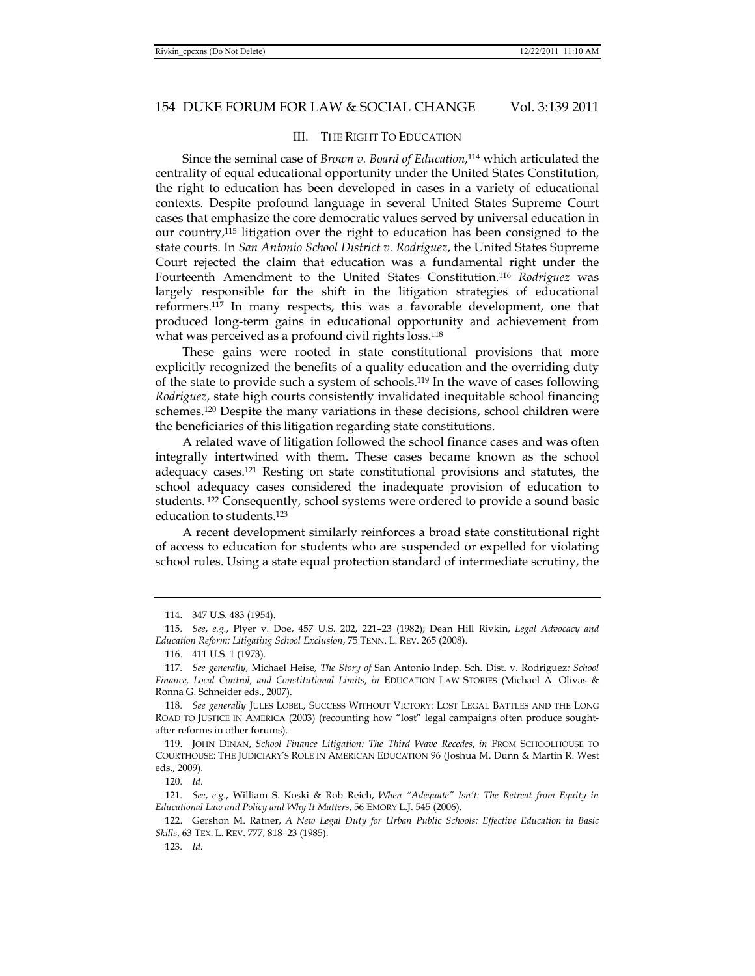# III. THE RIGHT TO EDUCATION

Since the seminal case of *Brown v. Board of Education*, 114 which articulated the centrality of equal educational opportunity under the United States Constitution, the right to education has been developed in cases in a variety of educational contexts. Despite profound language in several United States Supreme Court cases that emphasize the core democratic values served by universal education in our country,115 litigation over the right to education has been consigned to the state courts. In *San Antonio School District v. Rodriguez*, the United States Supreme Court rejected the claim that education was a fundamental right under the Fourteenth Amendment to the United States Constitution.116 *Rodriguez* was largely responsible for the shift in the litigation strategies of educational reformers.117 In many respects, this was a favorable development, one that produced long-term gains in educational opportunity and achievement from what was perceived as a profound civil rights loss.<sup>118</sup>

These gains were rooted in state constitutional provisions that more explicitly recognized the benefits of a quality education and the overriding duty of the state to provide such a system of schools.119 In the wave of cases following *Rodriguez*, state high courts consistently invalidated inequitable school financing schemes.120 Despite the many variations in these decisions, school children were the beneficiaries of this litigation regarding state constitutions.

A related wave of litigation followed the school finance cases and was often integrally intertwined with them. These cases became known as the school adequacy cases.121 Resting on state constitutional provisions and statutes, the school adequacy cases considered the inadequate provision of education to students.<sup>122</sup> Consequently, school systems were ordered to provide a sound basic education to students.123

A recent development similarly reinforces a broad state constitutional right of access to education for students who are suspended or expelled for violating school rules. Using a state equal protection standard of intermediate scrutiny, the

 <sup>114. 347</sup> U.S. 483 (1954).

<sup>115</sup>*. See*, *e.g.*, Plyer v. Doe, 457 U.S. 202, 221–23 (1982); Dean Hill Rivkin, *Legal Advocacy and Education Reform: Litigating School Exclusion*, 75 TENN. L. REV. 265 (2008).

 <sup>116. 411</sup> U.S. 1 (1973).

<sup>117</sup>*. See generally*, Michael Heise, *The Story of* San Antonio Indep. Sch. Dist. v. Rodriguez*: School Finance, Local Control, and Constitutional Limits*, *in* EDUCATION LAW STORIES (Michael A. Olivas & Ronna G. Schneider eds., 2007).

<sup>118</sup>*. See generally* JULES LOBEL, SUCCESS WITHOUT VICTORY: LOST LEGAL BATTLES AND THE LONG ROAD TO JUSTICE IN AMERICA (2003) (recounting how "lost" legal campaigns often produce soughtafter reforms in other forums).

 <sup>119.</sup> JOHN DINAN, *School Finance Litigation: The Third Wave Recedes*, *in* FROM SCHOOLHOUSE TO COURTHOUSE: THE JUDICIARY'S ROLE IN AMERICAN EDUCATION 96 (Joshua M. Dunn & Martin R. West eds., 2009).

<sup>120</sup>*. Id*.

<sup>121</sup>*. See*, *e.g*., William S. Koski & Rob Reich, *When "Adequate" Isn't: The Retreat from Equity in Educational Law and Policy and Why It Matters*, 56 EMORY L.J. 545 (2006).

 <sup>122.</sup> Gershon M. Ratner, *A New Legal Duty for Urban Public Schools: Effective Education in Basic Skills*, 63 TEX. L. REV. 777, 818–23 (1985).

<sup>123</sup>*. Id.*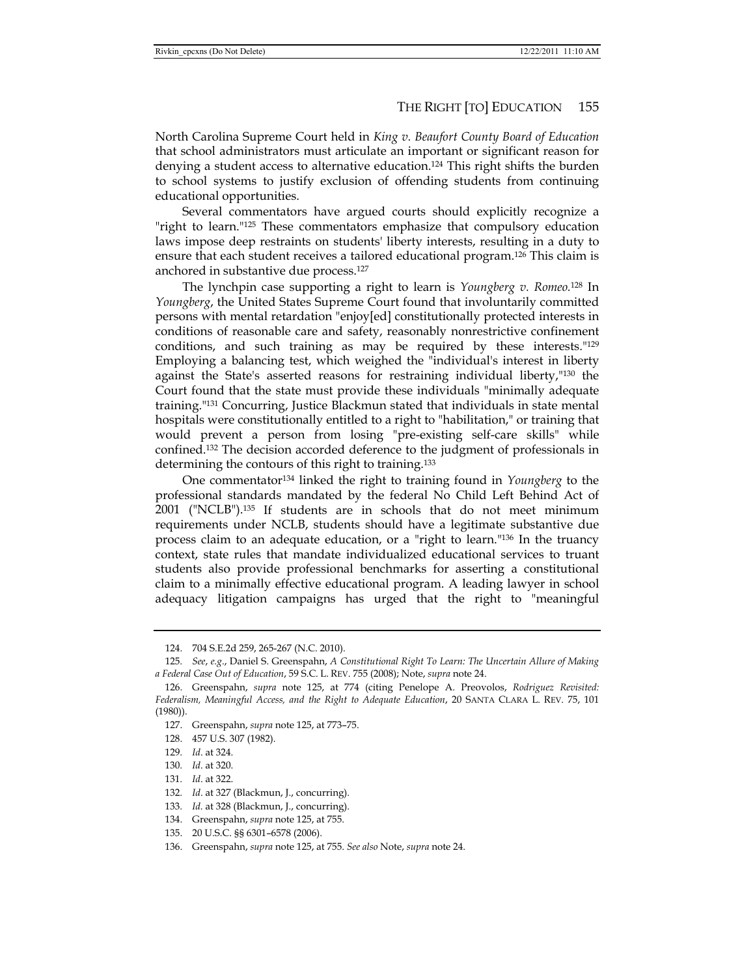North Carolina Supreme Court held in *King v. Beaufort County Board of Education* that school administrators must articulate an important or significant reason for denying a student access to alternative education.124 This right shifts the burden to school systems to justify exclusion of offending students from continuing educational opportunities.

Several commentators have argued courts should explicitly recognize a "right to learn."125 These commentators emphasize that compulsory education laws impose deep restraints on students' liberty interests, resulting in a duty to ensure that each student receives a tailored educational program.<sup>126</sup> This claim is anchored in substantive due process.127

The lynchpin case supporting a right to learn is *Youngberg v. Romeo.*128 In *Youngberg*, the United States Supreme Court found that involuntarily committed persons with mental retardation "enjoy[ed] constitutionally protected interests in conditions of reasonable care and safety, reasonably nonrestrictive confinement conditions, and such training as may be required by these interests."129 Employing a balancing test, which weighed the "individual's interest in liberty against the State's asserted reasons for restraining individual liberty,"130 the Court found that the state must provide these individuals "minimally adequate training."131 Concurring, Justice Blackmun stated that individuals in state mental hospitals were constitutionally entitled to a right to "habilitation," or training that would prevent a person from losing "pre-existing self-care skills" while confined.132 The decision accorded deference to the judgment of professionals in determining the contours of this right to training.133

One commentator134 linked the right to training found in *Youngberg* to the professional standards mandated by the federal No Child Left Behind Act of 2001 ("NCLB").135 If students are in schools that do not meet minimum requirements under NCLB, students should have a legitimate substantive due process claim to an adequate education, or a "right to learn."136 In the truancy context, state rules that mandate individualized educational services to truant students also provide professional benchmarks for asserting a constitutional claim to a minimally effective educational program. A leading lawyer in school adequacy litigation campaigns has urged that the right to "meaningful

134. Greenspahn, *supra* note 125, at 755.

 <sup>124. 704</sup> S.E.2d 259, 265-267 (N.C. 2010).

<sup>125</sup>*. See*, *e.g*., Daniel S. Greenspahn, *A Constitutional Right To Learn: The Uncertain Allure of Making a Federal Case Out of Education*, 59 S.C. L. REV. 755 (2008); Note, *supra* note 24.

 <sup>126.</sup> Greenspahn, *supra* note 125, at 774 (citing Penelope A. Preovolos, *Rodriguez Revisited: Federalism, Meaningful Access, and the Right to Adequate Education*, 20 SANTA CLARA L. REV. 75, 101 (1980)).

 <sup>127.</sup> Greenspahn, *supra* note 125, at 773–75.

 <sup>128. 457</sup> U.S. 307 (1982).

<sup>129</sup>*. Id*. at 324.

<sup>130</sup>*. Id*. at 320.

<sup>131</sup>*. Id*. at 322.

<sup>132</sup>*. Id*. at 327 (Blackmun, J., concurring).

<sup>133</sup>*. Id.* at 328 (Blackmun, J., concurring).

 <sup>135. 20</sup> U.S.C. §§ 6301–6578 (2006).

 <sup>136.</sup> Greenspahn, *supra* note 125, at 755. *See also* Note, *supra* note 24.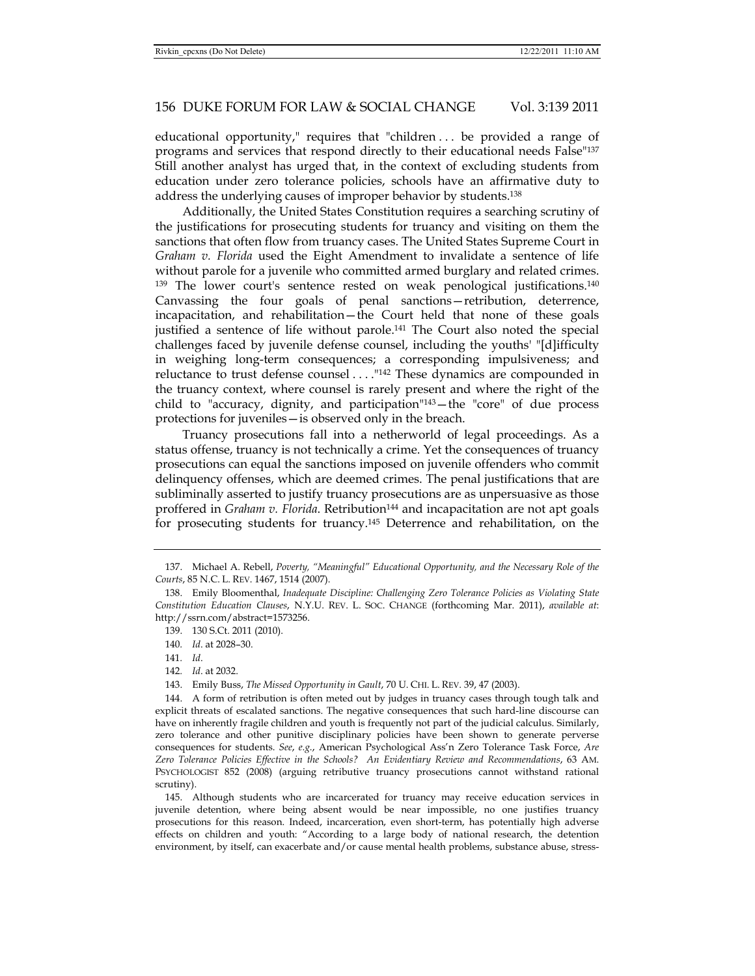educational opportunity," requires that "children . . . be provided a range of programs and services that respond directly to their educational needs False"137 Still another analyst has urged that, in the context of excluding students from education under zero tolerance policies, schools have an affirmative duty to address the underlying causes of improper behavior by students.138

Additionally, the United States Constitution requires a searching scrutiny of the justifications for prosecuting students for truancy and visiting on them the sanctions that often flow from truancy cases. The United States Supreme Court in *Graham v. Florida* used the Eight Amendment to invalidate a sentence of life without parole for a juvenile who committed armed burglary and related crimes.  $139$  The lower court's sentence rested on weak penological justifications.<sup>140</sup> Canvassing the four goals of penal sanctions—retribution, deterrence, incapacitation, and rehabilitation—the Court held that none of these goals justified a sentence of life without parole.141 The Court also noted the special challenges faced by juvenile defense counsel, including the youths' "[d]ifficulty in weighing long-term consequences; a corresponding impulsiveness; and reluctance to trust defense counsel . . . ."142 These dynamics are compounded in the truancy context, where counsel is rarely present and where the right of the child to "accuracy, dignity, and participation" $143$  – the "core" of due process protections for juveniles—is observed only in the breach.

Truancy prosecutions fall into a netherworld of legal proceedings. As a status offense, truancy is not technically a crime. Yet the consequences of truancy prosecutions can equal the sanctions imposed on juvenile offenders who commit delinquency offenses, which are deemed crimes. The penal justifications that are subliminally asserted to justify truancy prosecutions are as unpersuasive as those proffered in *Graham v. Florida*. Retribution<sup>144</sup> and incapacitation are not apt goals for prosecuting students for truancy.145 Deterrence and rehabilitation, on the

143. Emily Buss, *The Missed Opportunity in Gault*, 70 U. CHI. L. REV. 39, 47 (2003).

 144. A form of retribution is often meted out by judges in truancy cases through tough talk and explicit threats of escalated sanctions. The negative consequences that such hard-line discourse can have on inherently fragile children and youth is frequently not part of the judicial calculus. Similarly, zero tolerance and other punitive disciplinary policies have been shown to generate perverse consequences for students. *See*, *e.g.*, American Psychological Ass'n Zero Tolerance Task Force, *Are Zero Tolerance Policies Effective in the Schools? An Evidentiary Review and Recommendations*, 63 AM. PSYCHOLOGIST 852 (2008) (arguing retributive truancy prosecutions cannot withstand rational scrutiny).

 145. Although students who are incarcerated for truancy may receive education services in juvenile detention, where being absent would be near impossible, no one justifies truancy prosecutions for this reason. Indeed, incarceration, even short-term, has potentially high adverse effects on children and youth: "According to a large body of national research, the detention environment, by itself, can exacerbate and/or cause mental health problems, substance abuse, stress-

 <sup>137.</sup> Michael A. Rebell, *Poverty, "Meaningful" Educational Opportunity, and the Necessary Role of the Courts*, 85 N.C. L. REV. 1467, 1514 (2007).

 <sup>138.</sup> Emily Bloomenthal, *Inadequate Discipline: Challenging Zero Tolerance Policies as Violating State Constitution Education Clauses*, N.Y.U. REV. L. SOC. CHANGE (forthcoming Mar. 2011), *available at*: http://ssrn.com/abstract=1573256.

 <sup>139. 130</sup> S.Ct. 2011 (2010).

<sup>140</sup>*. Id*. at 2028–30.

<sup>141</sup>*. Id*.

<sup>142</sup>*. Id*. at 2032.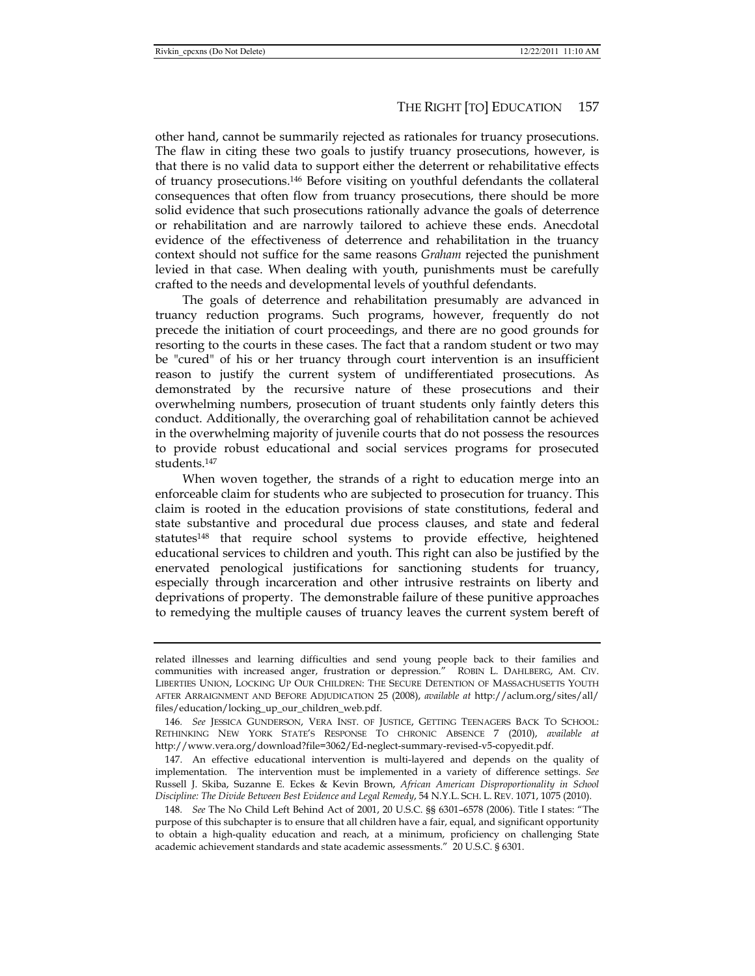other hand, cannot be summarily rejected as rationales for truancy prosecutions. The flaw in citing these two goals to justify truancy prosecutions, however, is that there is no valid data to support either the deterrent or rehabilitative effects of truancy prosecutions.146 Before visiting on youthful defendants the collateral consequences that often flow from truancy prosecutions, there should be more solid evidence that such prosecutions rationally advance the goals of deterrence or rehabilitation and are narrowly tailored to achieve these ends. Anecdotal evidence of the effectiveness of deterrence and rehabilitation in the truancy context should not suffice for the same reasons *Graham* rejected the punishment levied in that case. When dealing with youth, punishments must be carefully crafted to the needs and developmental levels of youthful defendants.

The goals of deterrence and rehabilitation presumably are advanced in truancy reduction programs. Such programs, however, frequently do not precede the initiation of court proceedings, and there are no good grounds for resorting to the courts in these cases. The fact that a random student or two may be "cured" of his or her truancy through court intervention is an insufficient reason to justify the current system of undifferentiated prosecutions. As demonstrated by the recursive nature of these prosecutions and their overwhelming numbers, prosecution of truant students only faintly deters this conduct. Additionally, the overarching goal of rehabilitation cannot be achieved in the overwhelming majority of juvenile courts that do not possess the resources to provide robust educational and social services programs for prosecuted students.147

When woven together, the strands of a right to education merge into an enforceable claim for students who are subjected to prosecution for truancy. This claim is rooted in the education provisions of state constitutions, federal and state substantive and procedural due process clauses, and state and federal statutes148 that require school systems to provide effective, heightened educational services to children and youth. This right can also be justified by the enervated penological justifications for sanctioning students for truancy, especially through incarceration and other intrusive restraints on liberty and deprivations of property. The demonstrable failure of these punitive approaches to remedying the multiple causes of truancy leaves the current system bereft of

related illnesses and learning difficulties and send young people back to their families and communities with increased anger, frustration or depression." ROBIN L. DAHLBERG, AM. CIV. LIBERTIES UNION, LOCKING UP OUR CHILDREN: THE SECURE DETENTION OF MASSACHUSETTS YOUTH AFTER ARRAIGNMENT AND BEFORE ADJUDICATION 25 (2008), *available at* http://aclum.org/sites/all/ files/education/locking\_up\_our\_children\_web.pdf.

<sup>146</sup>*. See* JESSICA GUNDERSON, VERA INST. OF JUSTICE, GETTING TEENAGERS BACK TO SCHOOL: RETHINKING NEW YORK STATE'S RESPONSE TO CHRONIC ABSENCE 7 (2010), *available at* http://www.vera.org/download?file=3062/Ed-neglect-summary-revised-v5-copyedit.pdf.

 <sup>147.</sup> An effective educational intervention is multi-layered and depends on the quality of implementation. The intervention must be implemented in a variety of difference settings. *See* Russell J. Skiba, Suzanne E. Eckes & Kevin Brown, *African American Disproportionality in School Discipline: The Divide Between Best Evidence and Legal Remedy*, 54 N.Y.L. SCH. L. REV. 1071, 1075 (2010).

<sup>148</sup>*. See* The No Child Left Behind Act of 2001, 20 U.S.C. §§ 6301–6578 (2006). Title I states: "The purpose of this subchapter is to ensure that all children have a fair, equal, and significant opportunity to obtain a high-quality education and reach, at a minimum, proficiency on challenging State academic achievement standards and state academic assessments." 20 U.S.C. § 6301.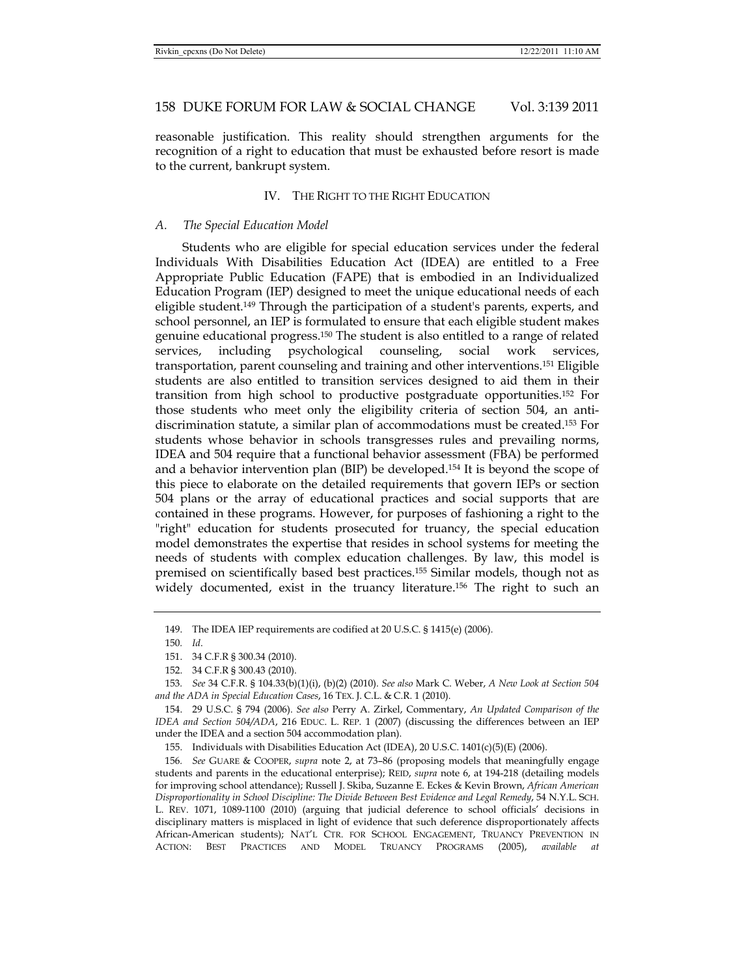reasonable justification. This reality should strengthen arguments for the recognition of a right to education that must be exhausted before resort is made to the current, bankrupt system.

# IV. THE RIGHT TO THE RIGHT EDUCATION

#### *A. The Special Education Model*

Students who are eligible for special education services under the federal Individuals With Disabilities Education Act (IDEA) are entitled to a Free Appropriate Public Education (FAPE) that is embodied in an Individualized Education Program (IEP) designed to meet the unique educational needs of each eligible student.149 Through the participation of a student's parents, experts, and school personnel, an IEP is formulated to ensure that each eligible student makes genuine educational progress.150 The student is also entitled to a range of related services, including psychological counseling, social work services, transportation, parent counseling and training and other interventions.151 Eligible students are also entitled to transition services designed to aid them in their transition from high school to productive postgraduate opportunities.152 For those students who meet only the eligibility criteria of section 504, an antidiscrimination statute, a similar plan of accommodations must be created.153 For students whose behavior in schools transgresses rules and prevailing norms, IDEA and 504 require that a functional behavior assessment (FBA) be performed and a behavior intervention plan (BIP) be developed.154 It is beyond the scope of this piece to elaborate on the detailed requirements that govern IEPs or section 504 plans or the array of educational practices and social supports that are contained in these programs. However, for purposes of fashioning a right to the "right" education for students prosecuted for truancy, the special education model demonstrates the expertise that resides in school systems for meeting the needs of students with complex education challenges. By law, this model is premised on scientifically based best practices.155 Similar models, though not as widely documented, exist in the truancy literature.156 The right to such an

155. Individuals with Disabilities Education Act (IDEA), 20 U.S.C. 1401(c)(5)(E) (2006).

156*. See* GUARE & COOPER, *supra* note 2, at 73–86 (proposing models that meaningfully engage students and parents in the educational enterprise); REID, *supra* note 6, at 194-218 (detailing models for improving school attendance); Russell J. Skiba, Suzanne E. Eckes & Kevin Brown, *African American Disproportionality in School Discipline: The Divide Between Best Evidence and Legal Remedy*, 54 N.Y.L. SCH. L. REV. 1071, 1089-1100 (2010) (arguing that judicial deference to school officials' decisions in disciplinary matters is misplaced in light of evidence that such deference disproportionately affects African-American students); NAT'L CTR. FOR SCHOOL ENGAGEMENT, TRUANCY PREVENTION IN ACTION: BEST PRACTICES AND MODEL TRUANCY PROGRAMS (2005), *available at* 

 <sup>149.</sup> The IDEA IEP requirements are codified at 20 U.S.C. § 1415(e) (2006).

<sup>150</sup>*. Id*.

 <sup>151. 34</sup> C.F.R § 300.34 (2010).

 <sup>152. 34</sup> C.F.R § 300.43 (2010).

<sup>153</sup>*. See* 34 C.F.R. § 104.33(b)(1)(i), (b)(2) (2010). *See also* Mark C. Weber, *A New Look at Section 504 and the ADA in Special Education Cases*, 16 TEX. J. C.L. & C.R. 1 (2010).

 <sup>154. 29</sup> U.S.C. § 794 (2006). *See also* Perry A. Zirkel, Commentary, *An Updated Comparison of the IDEA and Section 504/ADA*, 216 EDUC. L. REP. 1 (2007) (discussing the differences between an IEP under the IDEA and a section 504 accommodation plan).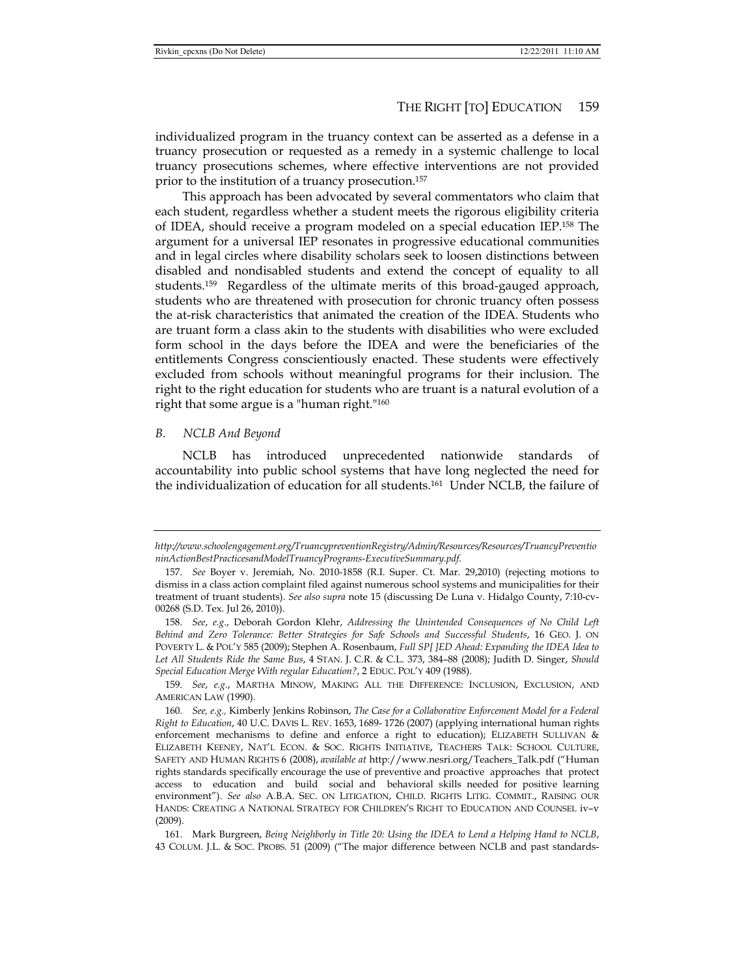individualized program in the truancy context can be asserted as a defense in a truancy prosecution or requested as a remedy in a systemic challenge to local truancy prosecutions schemes, where effective interventions are not provided prior to the institution of a truancy prosecution.157

This approach has been advocated by several commentators who claim that each student, regardless whether a student meets the rigorous eligibility criteria of IDEA, should receive a program modeled on a special education IEP.158 The argument for a universal IEP resonates in progressive educational communities and in legal circles where disability scholars seek to loosen distinctions between disabled and nondisabled students and extend the concept of equality to all students.159 Regardless of the ultimate merits of this broad-gauged approach, students who are threatened with prosecution for chronic truancy often possess the at-risk characteristics that animated the creation of the IDEA. Students who are truant form a class akin to the students with disabilities who were excluded form school in the days before the IDEA and were the beneficiaries of the entitlements Congress conscientiously enacted. These students were effectively excluded from schools without meaningful programs for their inclusion. The right to the right education for students who are truant is a natural evolution of a right that some argue is a "human right."160

## *B. NCLB And Beyond*

NCLB has introduced unprecedented nationwide standards accountability into public school systems that have long neglected the need for the individualization of education for all students.161 Under NCLB, the failure of

*http://www.schoolengagement.org/TruancypreventionRegistry/Admin/Resources/Resources/TruancyPreventio ninActionBestPracticesandModelTruancyPrograms-ExecutiveSummary.pdf*.

<sup>157</sup>*. See* Boyer v. Jeremiah, No. 2010-1858 (R.I. Super. Ct. Mar. 29,2010) (rejecting motions to dismiss in a class action complaint filed against numerous school systems and municipalities for their treatment of truant students). *See also supra* note 15 (discussing De Luna v. Hidalgo County, 7:10-cv-00268 (S.D. Tex. Jul 26, 2010)).

<sup>158</sup>*. See*, *e.g*., Deborah Gordon Klehr, *Addressing the Unintended Consequences of No Child Left Behind and Zero Tolerance: Better Strategies for Safe Schools and Successful Students*, 16 GEO. J. ON POVERTY L. & POL'Y 585 (2009); Stephen A. Rosenbaum, *Full SP[ ]ED Ahead: Expanding the IDEA Idea to Let All Students Ride the Same Bus*, 4 STAN. J. C.R. & C.L. 373, 384–88 (2008); Judith D. Singer, *Should Special Education Merge With regular Education?*, 2 EDUC. POL'Y 409 (1988).

<sup>159</sup>*. See*, *e.g.*, MARTHA MINOW, MAKING ALL THE DIFFERENCE: INCLUSION, EXCLUSION, AND AMERICAN LAW (1990).

<sup>160</sup>*. See, e.g.,* Kimberly Jenkins Robinson, *The Case for a Collaborative Enforcement Model for a Federal Right to Education*, 40 U.C. DAVIS L. REV. 1653, 1689- 1726 (2007) (applying international human rights enforcement mechanisms to define and enforce a right to education); ELIZABETH SULLIVAN & ELIZABETH KEENEY, NAT'L ECON. & SOC. RIGHTS INITIATIVE, TEACHERS TALK: SCHOOL CULTURE, SAFETY AND HUMAN RIGHTS 6 (2008), *available at* http://www.nesri.org/Teachers\_Talk.pdf ("Human rights standards specifically encourage the use of preventive and proactive approaches that protect access to education and build social and behavioral skills needed for positive learning environment"). *See also* A.B.A. SEC. ON LITIGATION, CHILD. RIGHTS LITIG. COMMIT., RAISING OUR HANDS: CREATING A NATIONAL STRATEGY FOR CHILDREN'S RIGHT TO EDUCATION AND COUNSEL iv–v (2009).

 <sup>161.</sup> Mark Burgreen, *Being Neighborly in Title 20: Using the IDEA to Lend a Helping Hand to NCLB*, 43 COLUM. J.L. & SOC. PROBS. 51 (2009) ("The major difference between NCLB and past standards-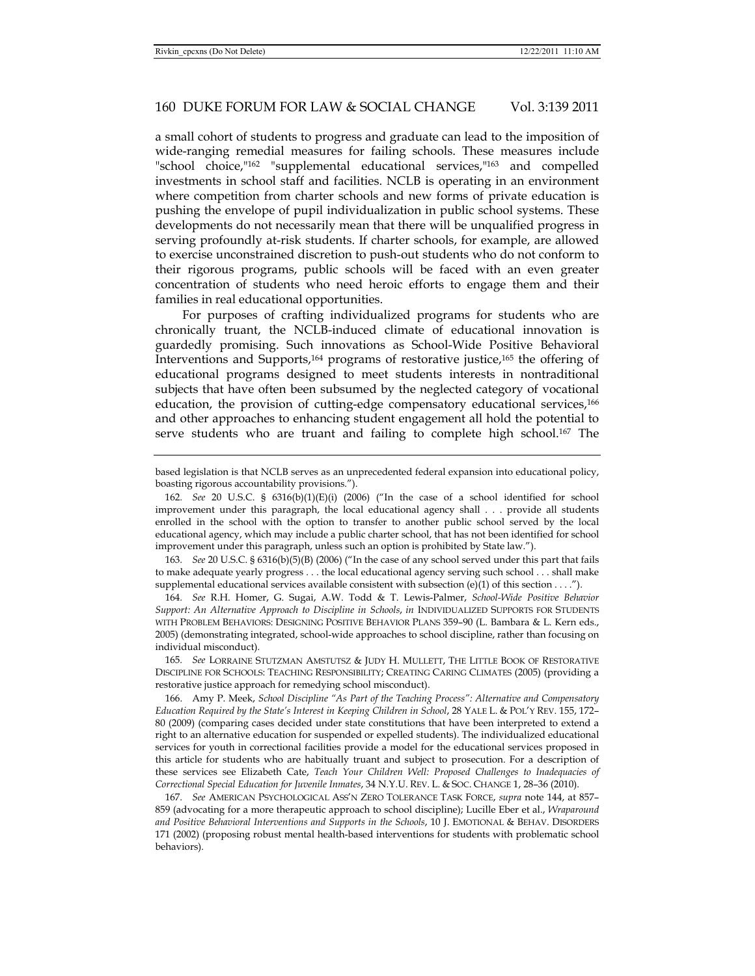a small cohort of students to progress and graduate can lead to the imposition of wide-ranging remedial measures for failing schools. These measures include "school choice,"162 "supplemental educational services,"163 and compelled investments in school staff and facilities. NCLB is operating in an environment where competition from charter schools and new forms of private education is pushing the envelope of pupil individualization in public school systems. These developments do not necessarily mean that there will be unqualified progress in serving profoundly at-risk students. If charter schools, for example, are allowed to exercise unconstrained discretion to push-out students who do not conform to their rigorous programs, public schools will be faced with an even greater concentration of students who need heroic efforts to engage them and their families in real educational opportunities.

For purposes of crafting individualized programs for students who are chronically truant, the NCLB-induced climate of educational innovation is guardedly promising. Such innovations as School-Wide Positive Behavioral Interventions and Supports,164 programs of restorative justice,165 the offering of educational programs designed to meet students interests in nontraditional subjects that have often been subsumed by the neglected category of vocational education, the provision of cutting-edge compensatory educational services,166 and other approaches to enhancing student engagement all hold the potential to serve students who are truant and failing to complete high school.<sup>167</sup> The

163*. See* 20 U.S.C. § 6316(b)(5)(B) (2006) ("In the case of any school served under this part that fails to make adequate yearly progress . . . the local educational agency serving such school . . . shall make supplemental educational services available consistent with subsection (e)(1) of this section . . . .").

164*. See* R.H. Homer, G. Sugai, A.W. Todd & T. Lewis-Palmer, *School-Wide Positive Behavior Support: An Alternative Approach to Discipline in Schools*, *in* INDIVIDUALIZED SUPPORTS FOR STUDENTS WITH PROBLEM BEHAVIORS: DESIGNING POSITIVE BEHAVIOR PLANS 359–90 (L. Bambara & L. Kern eds., 2005) (demonstrating integrated, school-wide approaches to school discipline, rather than focusing on individual misconduct).

165*. See* LORRAINE STUTZMAN AMSTUTSZ & JUDY H. MULLETT, THE LITTLE BOOK OF RESTORATIVE DISCIPLINE FOR SCHOOLS: TEACHING RESPONSIBILITY; CREATING CARING CLIMATES (2005) (providing a restorative justice approach for remedying school misconduct).

 166. Amy P. Meek, *School Discipline "As Part of the Teaching Process": Alternative and Compensatory Education Required by the State's Interest in Keeping Children in School*, 28 YALE L. & POL'Y REV. 155, 172– 80 (2009) (comparing cases decided under state constitutions that have been interpreted to extend a right to an alternative education for suspended or expelled students). The individualized educational services for youth in correctional facilities provide a model for the educational services proposed in this article for students who are habitually truant and subject to prosecution. For a description of these services see Elizabeth Cate, *Teach Your Children Well: Proposed Challenges to Inadequacies of Correctional Special Education for Juvenile Inmates*, 34 N.Y.U. REV. L. & SOC. CHANGE 1, 28–36 (2010).

167*. See* AMERICAN PSYCHOLOGICAL ASS'N ZERO TOLERANCE TASK FORCE, *supra* note 144, at 857– 859 (advocating for a more therapeutic approach to school discipline); Lucille Eber et al., *Wraparound and Positive Behavioral Interventions and Supports in the Schools*, 10 J. EMOTIONAL & BEHAV. DISORDERS 171 (2002) (proposing robust mental health-based interventions for students with problematic school behaviors).

based legislation is that NCLB serves as an unprecedented federal expansion into educational policy, boasting rigorous accountability provisions.").

<sup>162</sup>*. See* 20 U.S.C. § 6316(b)(1)(E)(i) (2006) ("In the case of a school identified for school improvement under this paragraph, the local educational agency shall . . . provide all students enrolled in the school with the option to transfer to another public school served by the local educational agency, which may include a public charter school, that has not been identified for school improvement under this paragraph, unless such an option is prohibited by State law.").